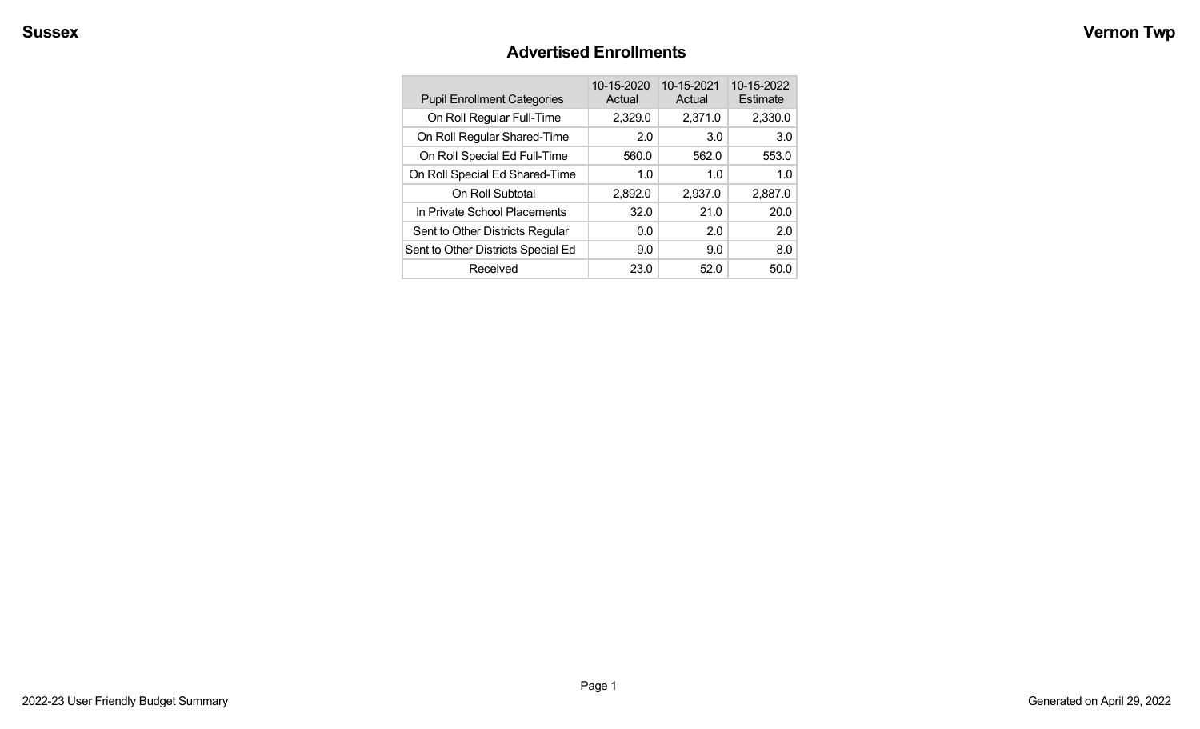#### **Advertised Enrollments**

| <b>Pupil Enrollment Categories</b> | 10-15-2020<br>Actual | 10-15-2021<br>Actual | 10-15-2022<br>Estimate |
|------------------------------------|----------------------|----------------------|------------------------|
| On Roll Regular Full-Time          | 2,329.0              | 2,371.0              | 2,330.0                |
| On Roll Regular Shared-Time        | 2.0                  | 3.0                  | 3.0                    |
| On Roll Special Ed Full-Time       | 560.0                | 562.0                | 553.0                  |
| On Roll Special Ed Shared-Time     | 1.0                  | 1.0                  | 1.0                    |
| On Roll Subtotal                   | 2,892.0              | 2,937.0              | 2,887.0                |
| In Private School Placements       | 32.0                 | 21.0                 | 20.0                   |
| Sent to Other Districts Regular    | 0.0                  | 2.0                  | 2.0                    |
| Sent to Other Districts Special Ed | 9.0                  | 9.0                  | 8.0                    |
| Received                           | 23.0                 | 52.0                 | 50.0                   |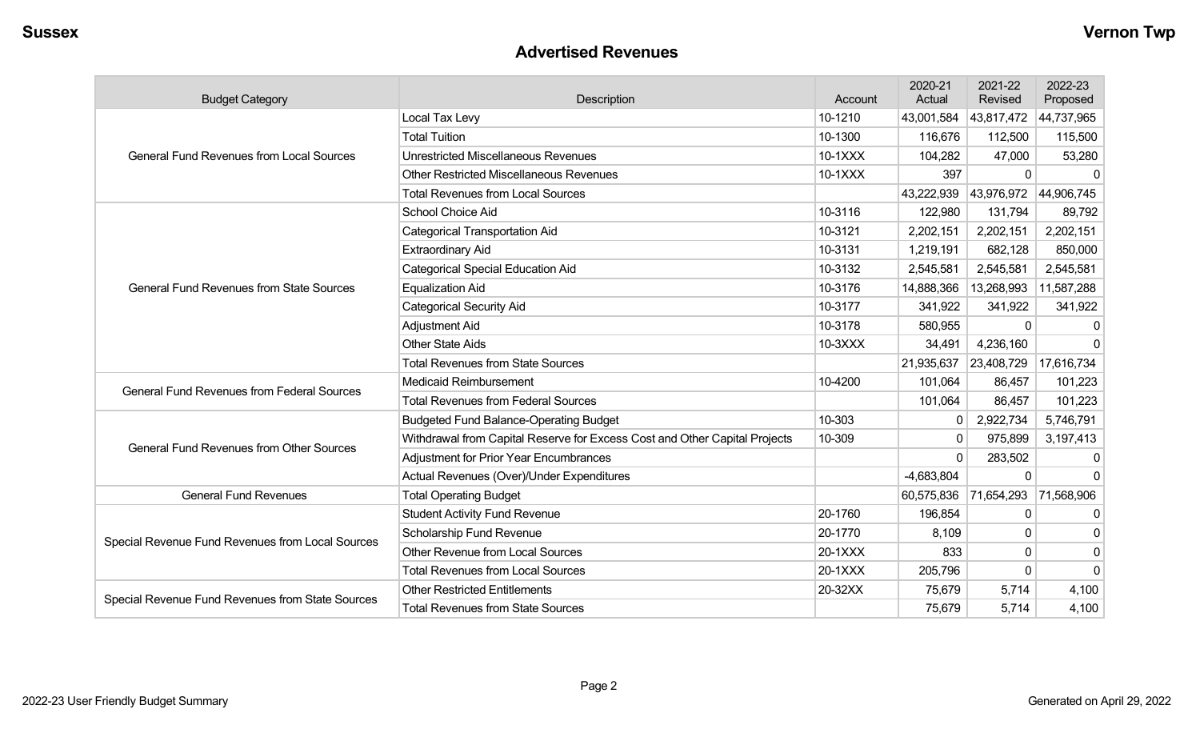#### **Advertised Revenues**

| <b>Budget Category</b>                            | Description                                                                | Account | 2020-21<br>Actual | 2021-22<br>Revised | 2022-23<br>Proposed |
|---------------------------------------------------|----------------------------------------------------------------------------|---------|-------------------|--------------------|---------------------|
|                                                   | Local Tax Levy                                                             | 10-1210 | 43,001,584        | 43,817,472         | 44,737,965          |
|                                                   | <b>Total Tuition</b>                                                       | 10-1300 | 116,676           | 112,500            | 115,500             |
| <b>General Fund Revenues from Local Sources</b>   | <b>Unrestricted Miscellaneous Revenues</b>                                 | 10-1XXX | 104,282           | 47,000             | 53,280              |
|                                                   | <b>Other Restricted Miscellaneous Revenues</b>                             | 10-1XXX | 397               | $\Omega$           | $\Omega$            |
|                                                   | <b>Total Revenues from Local Sources</b>                                   |         | 43,222,939        | 43,976,972         | 44,906,745          |
|                                                   | School Choice Aid                                                          | 10-3116 | 122,980           | 131,794            | 89,792              |
|                                                   | Categorical Transportation Aid                                             | 10-3121 | 2,202,151         | 2,202,151          | 2,202,151           |
|                                                   | <b>Extraordinary Aid</b>                                                   | 10-3131 | 1,219,191         | 682,128            | 850,000             |
|                                                   | <b>Categorical Special Education Aid</b>                                   | 10-3132 | 2,545,581         | 2,545,581          | 2,545,581           |
| <b>General Fund Revenues from State Sources</b>   | <b>Equalization Aid</b>                                                    | 10-3176 | 14,888,366        | 13,268,993         | 11,587,288          |
|                                                   | <b>Categorical Security Aid</b>                                            | 10-3177 | 341,922           | 341,922            | 341,922             |
|                                                   | <b>Adjustment Aid</b>                                                      | 10-3178 | 580,955           | 0                  | $\Omega$            |
|                                                   | <b>Other State Aids</b>                                                    | 10-3XXX | 34,491            | 4,236,160          | ∩                   |
|                                                   | <b>Total Revenues from State Sources</b>                                   |         | 21,935,637        | 23,408,729         | 17,616,734          |
| <b>General Fund Revenues from Federal Sources</b> | Medicaid Reimbursement                                                     | 10-4200 | 101,064           | 86,457             | 101,223             |
|                                                   | <b>Total Revenues from Federal Sources</b>                                 |         | 101,064           | 86,457             | 101,223             |
|                                                   | <b>Budgeted Fund Balance-Operating Budget</b>                              | 10-303  | 0                 | 2,922,734          | 5,746,791           |
| <b>General Fund Revenues from Other Sources</b>   | Withdrawal from Capital Reserve for Excess Cost and Other Capital Projects | 10-309  | $\mathbf{0}$      | 975,899            | 3,197,413           |
|                                                   | <b>Adjustment for Prior Year Encumbrances</b>                              |         | $\Omega$          | 283,502            | $\Omega$            |
|                                                   | Actual Revenues (Over)/Under Expenditures                                  |         | $-4,683,804$      | $\Omega$           | $\Omega$            |
| <b>General Fund Revenues</b>                      | <b>Total Operating Budget</b>                                              |         | 60,575,836        | 71,654,293         | 71,568,906          |
|                                                   | <b>Student Activity Fund Revenue</b>                                       | 20-1760 | 196,854           | $\mathbf 0$        | $\mathbf 0$         |
| Special Revenue Fund Revenues from Local Sources  | Scholarship Fund Revenue                                                   | 20-1770 | 8,109             | 0                  | $\Omega$            |
|                                                   | <b>Other Revenue from Local Sources</b>                                    | 20-1XXX | 833               | 0                  | $\Omega$            |
|                                                   | <b>Total Revenues from Local Sources</b>                                   | 20-1XXX | 205,796           | $\mathbf 0$        | $\Omega$            |
|                                                   | <b>Other Restricted Entitlements</b>                                       | 20-32XX | 75,679            | 5,714              | 4,100               |
| Special Revenue Fund Revenues from State Sources  | <b>Total Revenues from State Sources</b>                                   |         | 75,679            | 5.714              | 4,100               |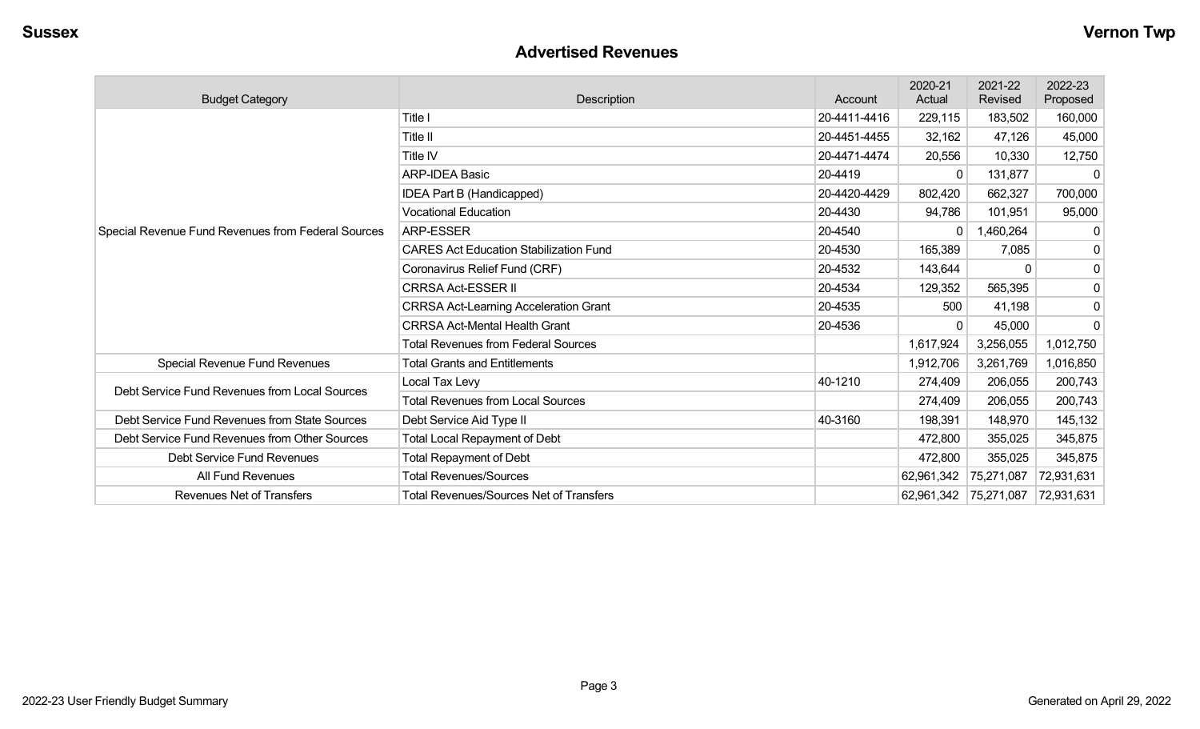#### **Advertised Revenues**

| <b>Budget Category</b>                             | <b>Description</b>                             | Account      | 2020-21<br>Actual     | 2021-22<br>Revised | 2022-23<br>Proposed |
|----------------------------------------------------|------------------------------------------------|--------------|-----------------------|--------------------|---------------------|
|                                                    | Title I                                        | 20-4411-4416 | 229,115               | 183,502            | 160,000             |
|                                                    | Title II                                       | 20-4451-4455 | 32,162                | 47,126             | 45,000              |
|                                                    | Title IV                                       | 20-4471-4474 | 20,556                | 10,330             | 12,750              |
|                                                    | <b>ARP-IDEA Basic</b>                          | 20-4419      | 0                     | 131,877            | $\Omega$            |
|                                                    | IDEA Part B (Handicapped)                      | 20-4420-4429 | 802,420               | 662,327            | 700,000             |
|                                                    | <b>Vocational Education</b>                    | 20-4430      | 94,786                | 101,951            | 95,000              |
| Special Revenue Fund Revenues from Federal Sources | <b>ARP-ESSER</b>                               | 20-4540      | 0                     | 1,460,264          | 0                   |
|                                                    | <b>CARES Act Education Stabilization Fund</b>  | 20-4530      | 165,389               | 7,085              | $\mathbf 0$         |
|                                                    | Coronavirus Relief Fund (CRF)                  | 20-4532      | 143,644               | 0                  | $\mathbf 0$         |
|                                                    | <b>CRRSA Act-ESSER II</b>                      | 20-4534      | 129,352               | 565,395            | $\mathbf 0$         |
|                                                    | <b>CRRSA Act-Learning Acceleration Grant</b>   | 20-4535      | 500                   | 41,198             | $\mathbf 0$         |
|                                                    | <b>CRRSA Act-Mental Health Grant</b>           | 20-4536      | 0                     | 45,000             | $\mathbf 0$         |
|                                                    | <b>Total Revenues from Federal Sources</b>     |              | 1,617,924             | 3,256,055          | 1,012,750           |
| Special Revenue Fund Revenues                      | <b>Total Grants and Entitlements</b>           |              | 1,912,706             | 3,261,769          | 1,016,850           |
| Debt Service Fund Revenues from Local Sources      | Local Tax Levy                                 | 40-1210      | 274,409               | 206,055            | 200,743             |
|                                                    | <b>Total Revenues from Local Sources</b>       |              | 274,409               | 206,055            | 200,743             |
| Debt Service Fund Revenues from State Sources      | Debt Service Aid Type II                       | 40-3160      | 198,391               | 148,970            | 145,132             |
| Debt Service Fund Revenues from Other Sources      | <b>Total Local Repayment of Debt</b>           |              | 472,800               | 355,025            | 345,875             |
| Debt Service Fund Revenues                         | <b>Total Repayment of Debt</b>                 |              | 472,800               | 355,025            | 345,875             |
| All Fund Revenues                                  | <b>Total Revenues/Sources</b>                  |              | 62,961,342            | 75,271,087         | 72,931,631          |
| Revenues Net of Transfers                          | <b>Total Revenues/Sources Net of Transfers</b> |              | 62,961,342 75,271,087 |                    | 72,931,631          |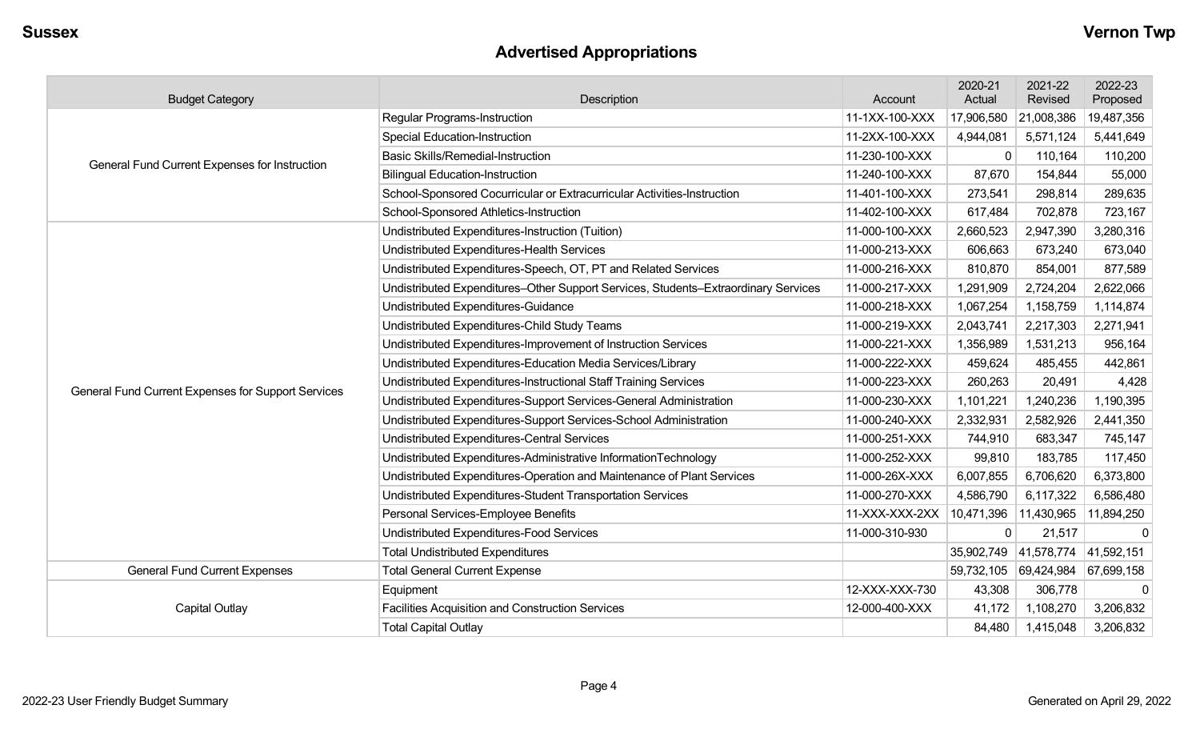# **Advertised Appropriations**

| <b>Budget Category</b>                             | Description                                                                        | Account        | 2020-21<br>Actual | 2021-22<br>Revised    | 2022-23<br>Proposed |
|----------------------------------------------------|------------------------------------------------------------------------------------|----------------|-------------------|-----------------------|---------------------|
|                                                    | <b>Regular Programs-Instruction</b>                                                | 11-1XX-100-XXX | 17,906,580        | 21,008,386            | 19,487,356          |
|                                                    | <b>Special Education-Instruction</b>                                               | 11-2XX-100-XXX | 4,944,081         | 5,571,124             | 5,441,649           |
| General Fund Current Expenses for Instruction      | <b>Basic Skills/Remedial-Instruction</b>                                           | 11-230-100-XXX | $\mathbf 0$       | 110,164               | 110,200             |
|                                                    | <b>Bilingual Education-Instruction</b>                                             | 11-240-100-XXX | 87,670            | 154,844               | 55,000              |
|                                                    | School-Sponsored Cocurricular or Extracurricular Activities-Instruction            | 11-401-100-XXX | 273,541           | 298,814               | 289,635             |
|                                                    | School-Sponsored Athletics-Instruction                                             | 11-402-100-XXX | 617,484           | 702,878               | 723,167             |
|                                                    | Undistributed Expenditures-Instruction (Tuition)                                   | 11-000-100-XXX | 2,660,523         | 2,947,390             | 3,280,316           |
|                                                    | Undistributed Expenditures-Health Services                                         | 11-000-213-XXX | 606,663           | 673,240               | 673,040             |
|                                                    | Undistributed Expenditures-Speech, OT, PT and Related Services                     | 11-000-216-XXX | 810,870           | 854,001               | 877,589             |
|                                                    | Undistributed Expenditures-Other Support Services, Students-Extraordinary Services | 11-000-217-XXX | 1,291,909         | 2,724,204             | 2,622,066           |
|                                                    | Undistributed Expenditures-Guidance                                                | 11-000-218-XXX | 1,067,254         | 1,158,759             | 1,114,874           |
|                                                    | Undistributed Expenditures-Child Study Teams                                       | 11-000-219-XXX | 2,043,741         | 2,217,303             | 2,271,941           |
|                                                    | Undistributed Expenditures-Improvement of Instruction Services                     | 11-000-221-XXX | 1,356,989         | 1,531,213             | 956,164             |
|                                                    | Undistributed Expenditures-Education Media Services/Library                        | 11-000-222-XXX | 459,624           | 485,455               | 442,861             |
| General Fund Current Expenses for Support Services | Undistributed Expenditures-Instructional Staff Training Services                   | 11-000-223-XXX | 260,263           | 20,491                | 4,428               |
|                                                    | Undistributed Expenditures-Support Services-General Administration                 | 11-000-230-XXX | 1,101,221         | 1,240,236             | 1,190,395           |
|                                                    | Undistributed Expenditures-Support Services-School Administration                  | 11-000-240-XXX | 2,332,931         | 2,582,926             | 2,441,350           |
|                                                    | Undistributed Expenditures-Central Services                                        | 11-000-251-XXX | 744,910           | 683,347               | 745,147             |
|                                                    | Undistributed Expenditures-Administrative InformationTechnology                    | 11-000-252-XXX | 99,810            | 183,785               | 117,450             |
|                                                    | Undistributed Expenditures-Operation and Maintenance of Plant Services             | 11-000-26X-XXX | 6,007,855         | 6,706,620             | 6,373,800           |
|                                                    | Undistributed Expenditures-Student Transportation Services                         | 11-000-270-XXX | 4,586,790         | 6,117,322             | 6,586,480           |
|                                                    | Personal Services-Employee Benefits                                                | 11-XXX-XXX-2XX | 10,471,396        | 11,430,965            | 11,894,250          |
|                                                    | Undistributed Expenditures-Food Services                                           | 11-000-310-930 | 0                 | 21,517                | $\Omega$            |
|                                                    | <b>Total Undistributed Expenditures</b>                                            |                |                   | 35,902,749 41,578,774 | 41,592,151          |
| <b>General Fund Current Expenses</b>               | <b>Total General Current Expense</b>                                               |                | 59,732,105        | 69,424,984            | 67,699,158          |
|                                                    | Equipment                                                                          | 12-XXX-XXX-730 | 43,308            | 306,778               | $\mathbf 0$         |
| Capital Outlay                                     | Facilities Acquisition and Construction Services                                   | 12-000-400-XXX | 41,172            | 1,108,270             | 3,206,832           |
|                                                    | <b>Total Capital Outlay</b>                                                        |                | 84,480            | 1,415,048             | 3,206,832           |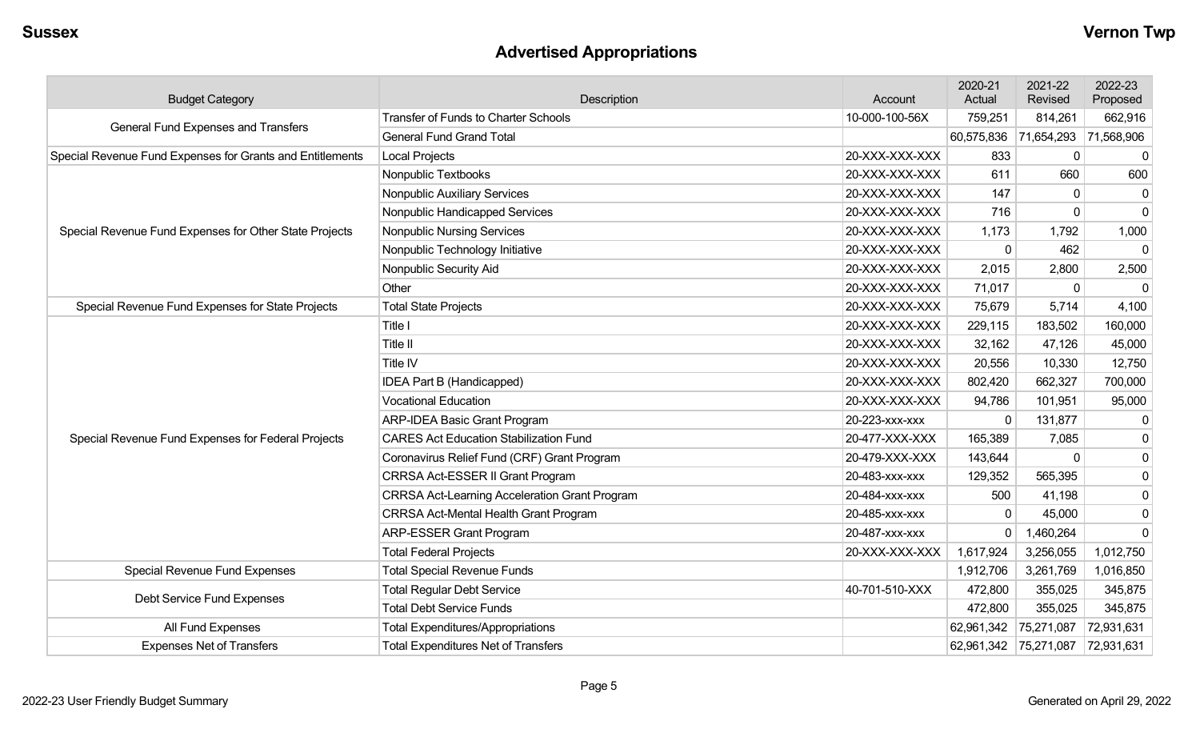# **Advertised Appropriations**

| <b>Budget Category</b>                                    | Description                                          | Account        | 2020-21<br>Actual     | 2021-22<br>Revised | 2022-23<br>Proposed |
|-----------------------------------------------------------|------------------------------------------------------|----------------|-----------------------|--------------------|---------------------|
| General Fund Expenses and Transfers                       | <b>Transfer of Funds to Charter Schools</b>          | 10-000-100-56X | 759,251               | 814,261            | 662,916             |
|                                                           | <b>General Fund Grand Total</b>                      |                | 60,575,836            | 71,654,293         | 71,568,906          |
| Special Revenue Fund Expenses for Grants and Entitlements | <b>Local Projects</b>                                | 20-XXX-XXX-XXX | 833                   | 0                  | $\boldsymbol{0}$    |
|                                                           | Nonpublic Textbooks                                  | 20-XXX-XXX-XXX | 611                   | 660                | 600                 |
|                                                           | Nonpublic Auxiliary Services                         | 20-XXX-XXX-XXX | 147                   | $\Omega$           | $\mathbf 0$         |
|                                                           | Nonpublic Handicapped Services                       | 20-XXX-XXX-XXX | 716                   | $\mathbf 0$        | $\mathbf 0$         |
| Special Revenue Fund Expenses for Other State Projects    | <b>Nonpublic Nursing Services</b>                    | 20-XXX-XXX-XXX | 1,173                 | 1,792              | 1,000               |
|                                                           | Nonpublic Technology Initiative                      | 20-XXX-XXX-XXX | $\mathbf 0$           | 462                | $\mathbf 0$         |
|                                                           | Nonpublic Security Aid                               | 20-XXX-XXX-XXX | 2,015                 | 2,800              | 2,500               |
|                                                           | Other                                                | 20-XXX-XXX-XXX | 71,017                | $\mathbf 0$        | $\Omega$            |
| Special Revenue Fund Expenses for State Projects          | <b>Total State Projects</b>                          | 20-XXX-XXX-XXX | 75,679                | 5,714              | 4,100               |
|                                                           | Title I                                              | 20-XXX-XXX-XXX | 229,115               | 183,502            | 160,000             |
|                                                           | Title II                                             | 20-XXX-XXX-XXX | 32,162                | 47,126             | 45,000              |
|                                                           | Title IV                                             | 20-XXX-XXX-XXX | 20,556                | 10,330             | 12,750              |
|                                                           | IDEA Part B (Handicapped)                            | 20-XXX-XXX-XXX | 802,420               | 662,327            | 700,000             |
|                                                           | <b>Vocational Education</b>                          | 20-XXX-XXX-XXX | 94,786                | 101,951            | 95,000              |
|                                                           | ARP-IDEA Basic Grant Program                         | 20-223-xxx-xxx | $\Omega$              | 131,877            | $\boldsymbol{0}$    |
| Special Revenue Fund Expenses for Federal Projects        | <b>CARES Act Education Stabilization Fund</b>        | 20-477-XXX-XXX | 165,389               | 7,085              | $\boldsymbol{0}$    |
|                                                           | Coronavirus Relief Fund (CRF) Grant Program          | 20-479-XXX-XXX | 143,644               | $\Omega$           | $\mathbf 0$         |
|                                                           | CRRSA Act-ESSER II Grant Program                     | 20-483-xxx-xxx | 129,352               | 565,395            | $\mathbf 0$         |
|                                                           | <b>CRRSA Act-Learning Acceleration Grant Program</b> | 20-484-xxx-xxx | 500                   | 41,198             | $\mathbf 0$         |
|                                                           | <b>CRRSA Act-Mental Health Grant Program</b>         | 20-485-xxx-xxx | $\mathbf{0}$          | 45,000             | $\mathbf 0$         |
|                                                           | <b>ARP-ESSER Grant Program</b>                       | 20-487-xxx-xxx | $\mathbf 0$           | 1,460,264          | $\Omega$            |
|                                                           | <b>Total Federal Projects</b>                        | 20-XXX-XXX-XXX | 1,617,924             | 3,256,055          | 1,012,750           |
| Special Revenue Fund Expenses                             | <b>Total Special Revenue Funds</b>                   |                | 1,912,706             | 3,261,769          | 1,016,850           |
|                                                           | <b>Total Regular Debt Service</b>                    | 40-701-510-XXX | 472,800               | 355,025            | 345,875             |
| Debt Service Fund Expenses                                | <b>Total Debt Service Funds</b>                      |                | 472,800               | 355,025            | 345,875             |
| All Fund Expenses                                         | <b>Total Expenditures/Appropriations</b>             |                | 62,961,342            | 75,271,087         | 72,931,631          |
| <b>Expenses Net of Transfers</b>                          | <b>Total Expenditures Net of Transfers</b>           |                | 62,961,342 75,271,087 |                    | 72,931,631          |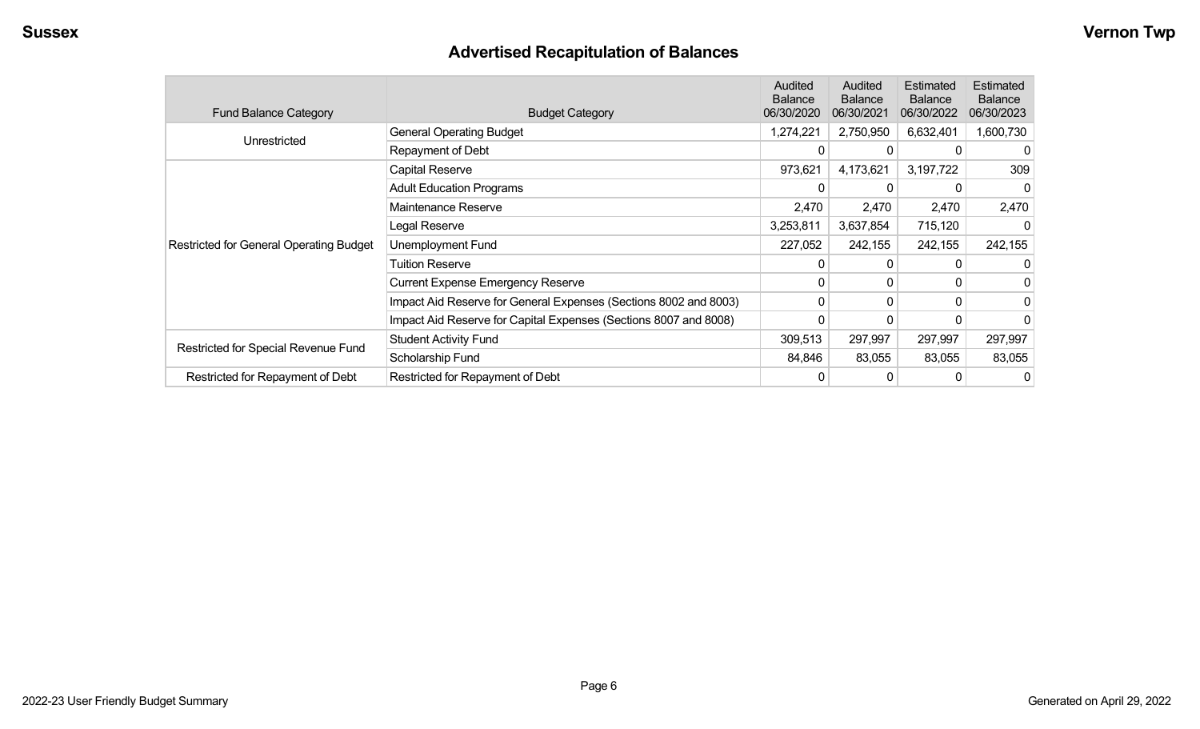# **Advertised Recapitulation of Balances**

| <b>Fund Balance Category</b>                   | <b>Budget Category</b>                                           | Audited<br><b>Balance</b><br>06/30/2020 | Audited<br><b>Balance</b><br>06/30/2021 | Estimated<br><b>Balance</b><br>06/30/2022 | Estimated<br><b>Balance</b><br>06/30/2023 |
|------------------------------------------------|------------------------------------------------------------------|-----------------------------------------|-----------------------------------------|-------------------------------------------|-------------------------------------------|
|                                                | <b>General Operating Budget</b>                                  | 1,274,221                               | 2,750,950                               | 6,632,401                                 | 1,600,730                                 |
| Unrestricted                                   | Repayment of Debt                                                | 0                                       | 0                                       | 0                                         | 0                                         |
|                                                | Capital Reserve                                                  | 973,621                                 | 4,173,621                               | 3,197,722                                 | 309                                       |
|                                                | <b>Adult Education Programs</b>                                  |                                         |                                         |                                           | 0                                         |
|                                                | Maintenance Reserve                                              | 2,470                                   | 2,470                                   | 2,470                                     | 2,470                                     |
|                                                | Legal Reserve                                                    | 3,253,811                               | 3,637,854                               | 715,120                                   |                                           |
| <b>Restricted for General Operating Budget</b> | Unemployment Fund                                                | 227,052                                 | 242,155                                 | 242,155                                   | 242,155                                   |
|                                                | <b>Tuition Reserve</b>                                           | 0                                       | 0                                       |                                           |                                           |
|                                                | <b>Current Expense Emergency Reserve</b>                         | 0                                       | $\mathbf{0}$                            | $\Omega$                                  |                                           |
|                                                | Impact Aid Reserve for General Expenses (Sections 8002 and 8003) | 0                                       | 0                                       | $\Omega$                                  |                                           |
|                                                | Impact Aid Reserve for Capital Expenses (Sections 8007 and 8008) | 0                                       | 0                                       |                                           |                                           |
|                                                | <b>Student Activity Fund</b>                                     | 309,513                                 | 297,997                                 | 297,997                                   | 297,997                                   |
| Restricted for Special Revenue Fund            | Scholarship Fund                                                 | 84,846                                  | 83,055                                  | 83,055                                    | 83,055                                    |
| Restricted for Repayment of Debt               | Restricted for Repayment of Debt                                 |                                         | 0                                       |                                           | 0                                         |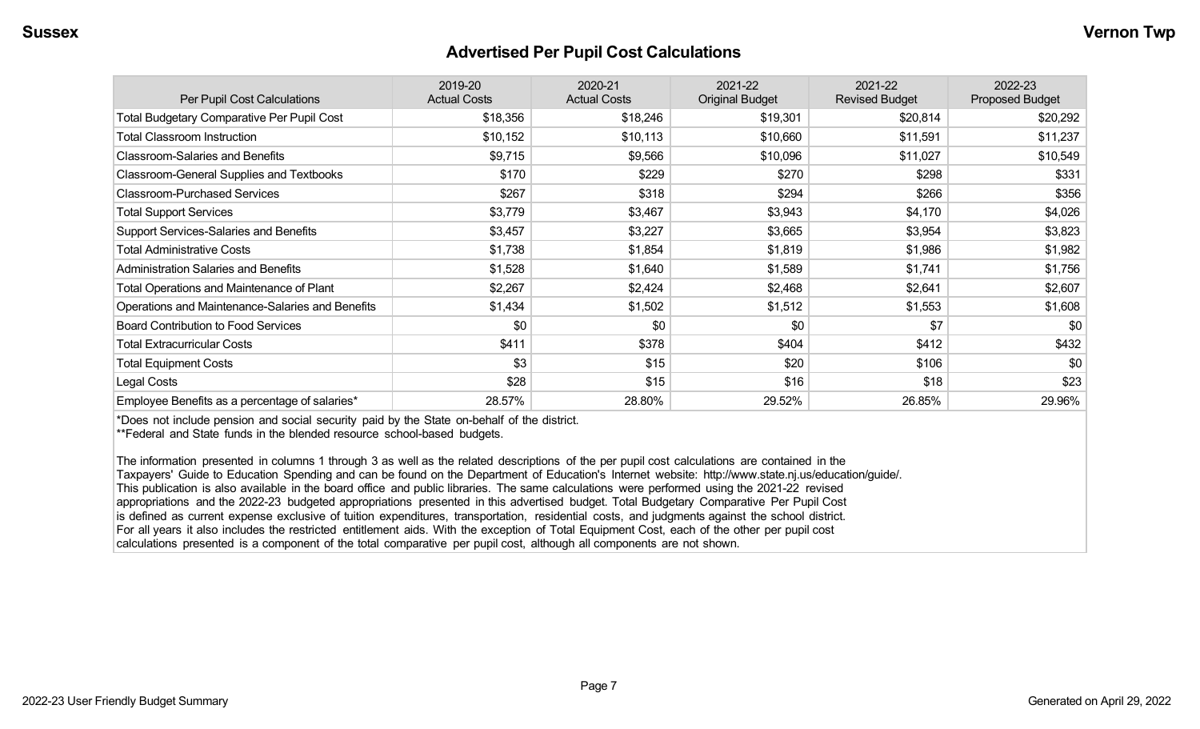#### **Advertised Per Pupil Cost Calculations**

| Per Pupil Cost Calculations                       | 2019-20<br><b>Actual Costs</b> | 2020-21<br><b>Actual Costs</b> | 2021-22<br><b>Original Budget</b> | 2021-22<br><b>Revised Budget</b> | 2022-23<br><b>Proposed Budget</b> |
|---------------------------------------------------|--------------------------------|--------------------------------|-----------------------------------|----------------------------------|-----------------------------------|
| <b>Total Budgetary Comparative Per Pupil Cost</b> | \$18,356                       | \$18,246                       | \$19,301                          | \$20,814                         | \$20,292                          |
| <b>Total Classroom Instruction</b>                | \$10,152                       | \$10,113                       | \$10,660                          | \$11,591                         | \$11,237                          |
| <b>Classroom-Salaries and Benefits</b>            | \$9,715                        | \$9,566                        | \$10,096                          | \$11,027                         | \$10,549                          |
| Classroom-General Supplies and Textbooks          | \$170                          | \$229                          | \$270                             | \$298                            | \$331                             |
| <b>Classroom-Purchased Services</b>               | \$267                          | \$318                          | \$294                             | \$266                            | \$356                             |
| <b>Total Support Services</b>                     | \$3,779                        | \$3,467                        | \$3,943                           | \$4,170                          | \$4,026                           |
| Support Services-Salaries and Benefits            | \$3,457                        | \$3,227                        | \$3,665                           | \$3,954                          | \$3,823                           |
| <b>Total Administrative Costs</b>                 | \$1,738                        | \$1,854                        | \$1,819                           | \$1,986                          | \$1,982                           |
| <b>Administration Salaries and Benefits</b>       | \$1,528                        | \$1,640                        | \$1,589                           | \$1,741                          | \$1,756                           |
| Total Operations and Maintenance of Plant         | \$2,267                        | \$2,424                        | \$2,468                           | \$2,641                          | \$2,607                           |
| Operations and Maintenance-Salaries and Benefits  | \$1,434                        | \$1,502                        | \$1,512                           | \$1,553                          | \$1,608                           |
| <b>Board Contribution to Food Services</b>        | \$0                            | \$0                            | \$0                               | \$7                              | \$0                               |
| <b>Total Extracurricular Costs</b>                | \$411                          | \$378                          | \$404                             | \$412                            | \$432                             |
| <b>Total Equipment Costs</b>                      | \$3                            | \$15                           | \$20                              | \$106                            | \$0                               |
| Legal Costs                                       | \$28                           | \$15                           | \$16                              | \$18                             | \$23                              |
| Employee Benefits as a percentage of salaries*    | 28.57%                         | 28.80%                         | 29.52%                            | 26.85%                           | 29.96%                            |

\*Does not include pension and social security paid by the State on-behalf of the district.

\*\*Federal and State funds in the blended resource school-based budgets.

The information presented in columns 1 through 3 as well as the related descriptions of the per pupil cost calculations are contained in the Taxpayers' Guide to Education Spending and can be found on the Department of Education's Internet website: http://www.state.nj.us/education/guide/. This publication is also available in the board office and public libraries. The same calculations were performed using the 2021-22 revised appropriations and the 2022-23 budgeted appropriations presented in this advertised budget. Total Budgetary Comparative Per Pupil Cost is defined as current expense exclusive of tuition expenditures, transportation, residential costs, and judgments against the school district. For all years it also includes the restricted entitlement aids. With the exception of Total Equipment Cost, each of the other per pupil cost calculations presented is a component of the total comparative per pupil cost, although all components are not shown.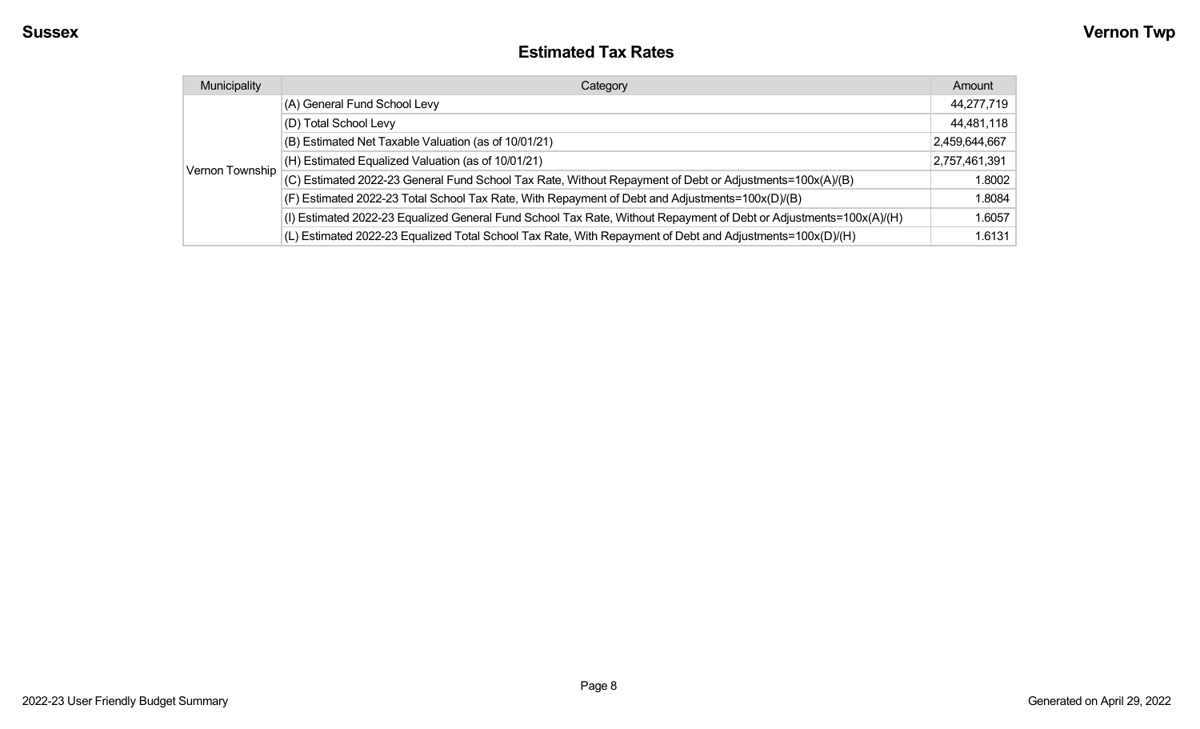#### **Estimated Tax Rates**

| Municipality    | Category                                                                                                           | Amount        |
|-----------------|--------------------------------------------------------------------------------------------------------------------|---------------|
|                 | (A) General Fund School Levy                                                                                       | 44,277,719    |
|                 | (D) Total School Levy                                                                                              | 44,481,118    |
|                 | (B) Estimated Net Taxable Valuation (as of 10/01/21)                                                               | 2,459,644,667 |
|                 | (H) Estimated Equalized Valuation (as of 10/01/21)                                                                 | 2,757,461,391 |
| Vernon Township | (C) Estimated 2022-23 General Fund School Tax Rate, Without Repayment of Debt or Adjustments=100x(A)/(B)           | 1.8002        |
|                 | (F) Estimated 2022-23 Total School Tax Rate, With Repayment of Debt and Adjustments=100x(D)/(B)                    | 1.8084        |
|                 | (I) Estimated 2022-23 Equalized General Fund School Tax Rate, Without Repayment of Debt or Adjustments=100x(A)/(H) | 1.6057        |
|                 | (L) Estimated 2022-23 Equalized Total School Tax Rate, With Repayment of Debt and Adjustments=100x(D)/(H)          | 1.6131        |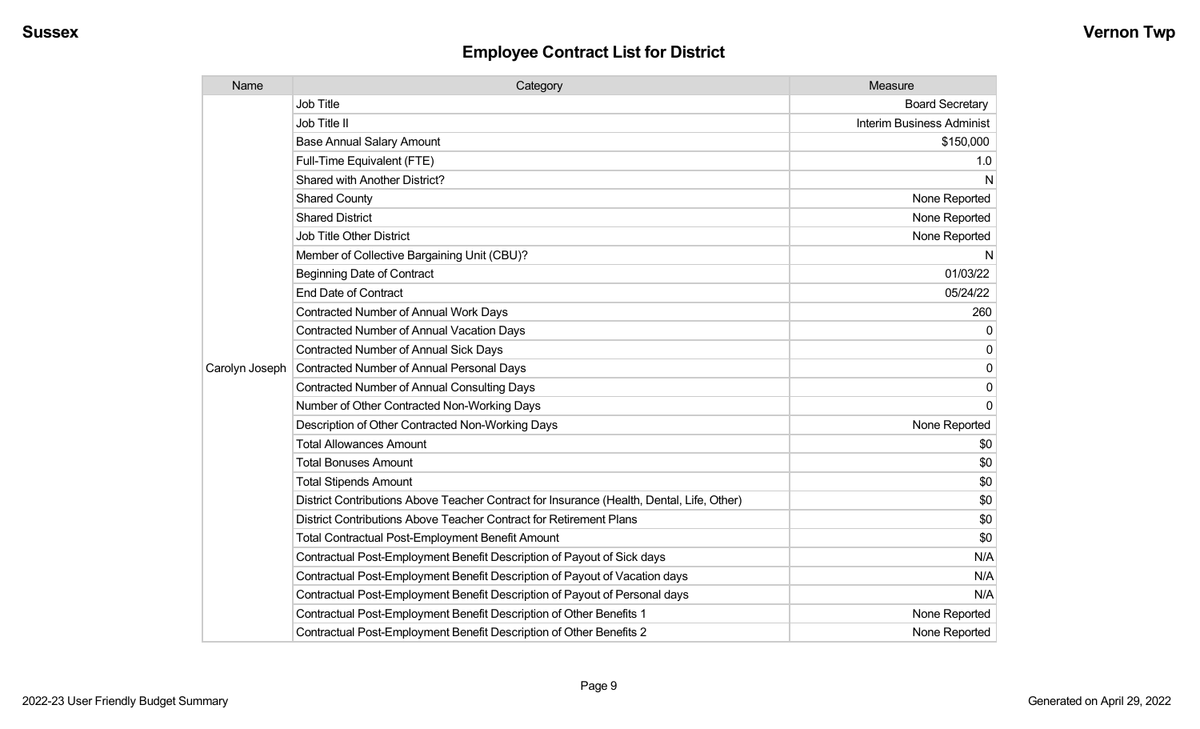| Name           | Category                                                                                  | Measure                   |
|----------------|-------------------------------------------------------------------------------------------|---------------------------|
|                | <b>Job Title</b>                                                                          | <b>Board Secretary</b>    |
|                | Job Title II                                                                              | Interim Business Administ |
|                | <b>Base Annual Salary Amount</b>                                                          | \$150,000                 |
|                | Full-Time Equivalent (FTE)                                                                | 1.0                       |
|                | <b>Shared with Another District?</b>                                                      | N                         |
|                | <b>Shared County</b>                                                                      | None Reported             |
|                | <b>Shared District</b>                                                                    | None Reported             |
|                | <b>Job Title Other District</b>                                                           | None Reported             |
|                | Member of Collective Bargaining Unit (CBU)?                                               | N                         |
|                | <b>Beginning Date of Contract</b>                                                         | 01/03/22                  |
|                | <b>End Date of Contract</b>                                                               | 05/24/22                  |
|                | <b>Contracted Number of Annual Work Days</b>                                              | 260                       |
|                | <b>Contracted Number of Annual Vacation Days</b>                                          | $\mathbf{0}$              |
|                | <b>Contracted Number of Annual Sick Days</b>                                              | $\mathbf{0}$              |
| Carolyn Joseph | Contracted Number of Annual Personal Days                                                 | 0                         |
|                | <b>Contracted Number of Annual Consulting Days</b>                                        | 0                         |
|                | Number of Other Contracted Non-Working Days                                               | $\mathbf{0}$              |
|                | Description of Other Contracted Non-Working Days                                          | None Reported             |
|                | <b>Total Allowances Amount</b>                                                            | \$0                       |
|                | <b>Total Bonuses Amount</b>                                                               | \$0                       |
|                | <b>Total Stipends Amount</b>                                                              | \$0                       |
|                | District Contributions Above Teacher Contract for Insurance (Health, Dental, Life, Other) | \$0                       |
|                | District Contributions Above Teacher Contract for Retirement Plans                        | \$0                       |
|                | <b>Total Contractual Post-Employment Benefit Amount</b>                                   | \$0                       |
|                | Contractual Post-Employment Benefit Description of Payout of Sick days                    | N/A                       |
|                | Contractual Post-Employment Benefit Description of Payout of Vacation days                | N/A                       |
|                | Contractual Post-Employment Benefit Description of Payout of Personal days                | N/A                       |
|                | Contractual Post-Employment Benefit Description of Other Benefits 1                       | None Reported             |
|                | Contractual Post-Employment Benefit Description of Other Benefits 2                       | None Reported             |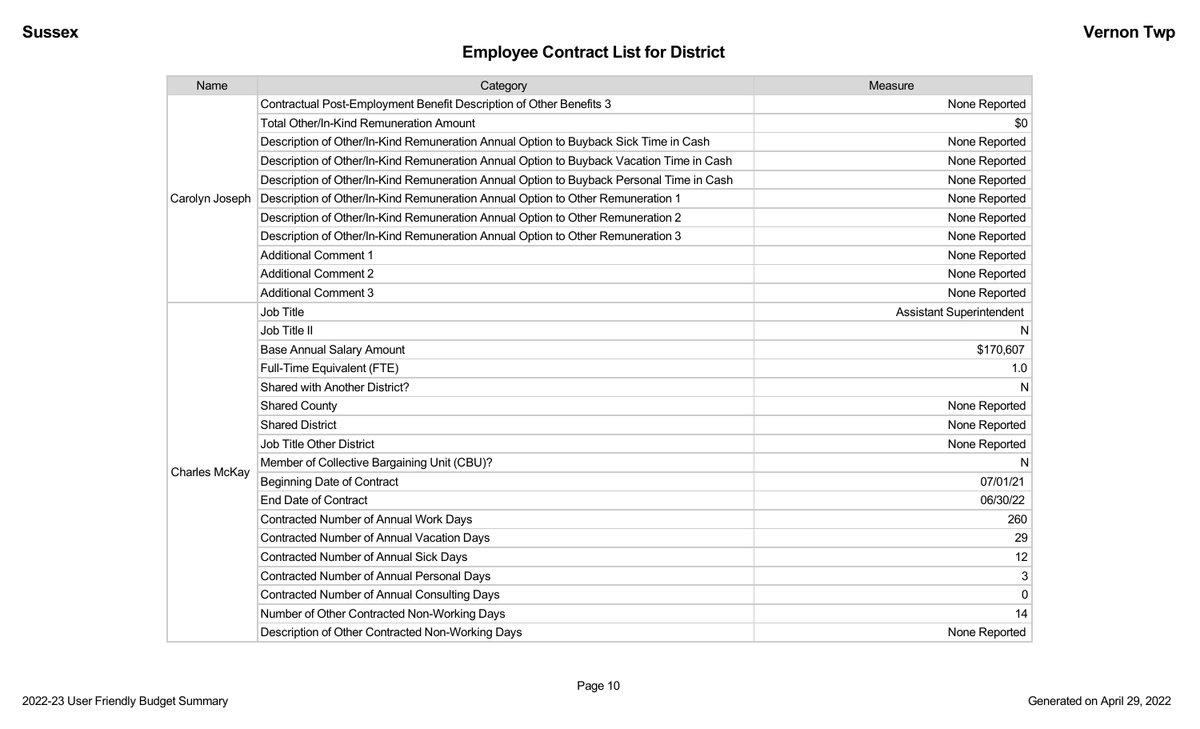| Name           | Category                                                                                 | Measure                         |
|----------------|------------------------------------------------------------------------------------------|---------------------------------|
|                | Contractual Post-Employment Benefit Description of Other Benefits 3                      | None Reported                   |
|                | <b>Total Other/In-Kind Remuneration Amount</b>                                           | \$0                             |
|                | Description of Other/In-Kind Remuneration Annual Option to Buyback Sick Time in Cash     | None Reported                   |
|                | Description of Other/In-Kind Remuneration Annual Option to Buyback Vacation Time in Cash | None Reported                   |
|                | Description of Other/In-Kind Remuneration Annual Option to Buyback Personal Time in Cash | None Reported                   |
| Carolyn Joseph | Description of Other/In-Kind Remuneration Annual Option to Other Remuneration 1          | None Reported                   |
|                | Description of Other/In-Kind Remuneration Annual Option to Other Remuneration 2          | None Reported                   |
|                | Description of Other/In-Kind Remuneration Annual Option to Other Remuneration 3          | None Reported                   |
|                | <b>Additional Comment 1</b>                                                              | None Reported                   |
|                | <b>Additional Comment 2</b>                                                              | None Reported                   |
|                | <b>Additional Comment 3</b>                                                              | None Reported                   |
|                | Job Title                                                                                | <b>Assistant Superintendent</b> |
|                | Job Title II                                                                             | N                               |
|                | <b>Base Annual Salary Amount</b>                                                         | \$170,607                       |
|                | Full-Time Equivalent (FTE)                                                               | 1.0                             |
|                | Shared with Another District?                                                            | N                               |
|                | <b>Shared County</b>                                                                     | None Reported                   |
|                | <b>Shared District</b>                                                                   | None Reported                   |
|                | <b>Job Title Other District</b>                                                          | None Reported                   |
|                | Member of Collective Bargaining Unit (CBU)?                                              | N                               |
| Charles McKay  | <b>Beginning Date of Contract</b>                                                        | 07/01/21                        |
|                | End Date of Contract                                                                     | 06/30/22                        |
|                | <b>Contracted Number of Annual Work Days</b>                                             | 260                             |
|                | <b>Contracted Number of Annual Vacation Days</b>                                         | 29                              |
|                | <b>Contracted Number of Annual Sick Days</b>                                             | 12                              |
|                | <b>Contracted Number of Annual Personal Days</b>                                         | 3                               |
|                | <b>Contracted Number of Annual Consulting Days</b>                                       | 0                               |
|                | Number of Other Contracted Non-Working Days                                              | 14                              |
|                | Description of Other Contracted Non-Working Days                                         | None Reported                   |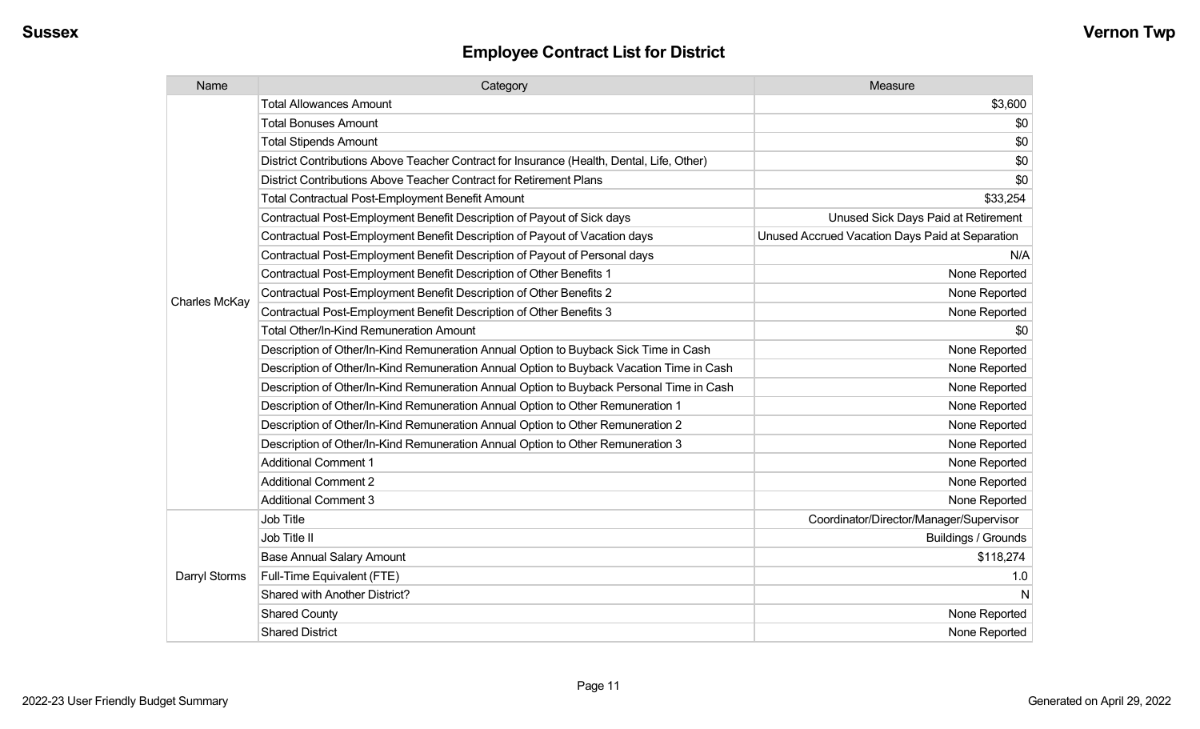| Name                 | Category                                                                                  | Measure                                         |
|----------------------|-------------------------------------------------------------------------------------------|-------------------------------------------------|
|                      | <b>Total Allowances Amount</b>                                                            | \$3,600                                         |
|                      | <b>Total Bonuses Amount</b>                                                               | \$0                                             |
|                      | <b>Total Stipends Amount</b>                                                              | \$0                                             |
|                      | District Contributions Above Teacher Contract for Insurance (Health, Dental, Life, Other) | \$0                                             |
|                      | District Contributions Above Teacher Contract for Retirement Plans                        | \$0                                             |
|                      | <b>Total Contractual Post-Employment Benefit Amount</b>                                   | \$33,254                                        |
|                      | Contractual Post-Employment Benefit Description of Payout of Sick days                    | Unused Sick Days Paid at Retirement             |
|                      | Contractual Post-Employment Benefit Description of Payout of Vacation days                | Unused Accrued Vacation Days Paid at Separation |
|                      | Contractual Post-Employment Benefit Description of Payout of Personal days                | N/A                                             |
|                      | Contractual Post-Employment Benefit Description of Other Benefits 1                       | None Reported                                   |
| <b>Charles McKay</b> | Contractual Post-Employment Benefit Description of Other Benefits 2                       | None Reported                                   |
|                      | Contractual Post-Employment Benefit Description of Other Benefits 3                       | None Reported                                   |
|                      | <b>Total Other/In-Kind Remuneration Amount</b>                                            | \$0                                             |
|                      | Description of Other/In-Kind Remuneration Annual Option to Buyback Sick Time in Cash      | None Reported                                   |
|                      | Description of Other/In-Kind Remuneration Annual Option to Buyback Vacation Time in Cash  | None Reported                                   |
|                      | Description of Other/In-Kind Remuneration Annual Option to Buyback Personal Time in Cash  | None Reported                                   |
|                      | Description of Other/In-Kind Remuneration Annual Option to Other Remuneration 1           | None Reported                                   |
|                      | Description of Other/In-Kind Remuneration Annual Option to Other Remuneration 2           | None Reported                                   |
|                      | Description of Other/In-Kind Remuneration Annual Option to Other Remuneration 3           | None Reported                                   |
|                      | <b>Additional Comment 1</b>                                                               | None Reported                                   |
|                      | <b>Additional Comment 2</b>                                                               | None Reported                                   |
|                      | <b>Additional Comment 3</b>                                                               | None Reported                                   |
|                      | Job Title                                                                                 | Coordinator/Director/Manager/Supervisor         |
|                      | Job Title II                                                                              | <b>Buildings / Grounds</b>                      |
|                      | <b>Base Annual Salary Amount</b>                                                          | \$118,274                                       |
| Darryl Storms        | Full-Time Equivalent (FTE)                                                                | 1.0                                             |
|                      | Shared with Another District?                                                             | N                                               |
|                      | <b>Shared County</b>                                                                      | None Reported                                   |
|                      | <b>Shared District</b>                                                                    | None Reported                                   |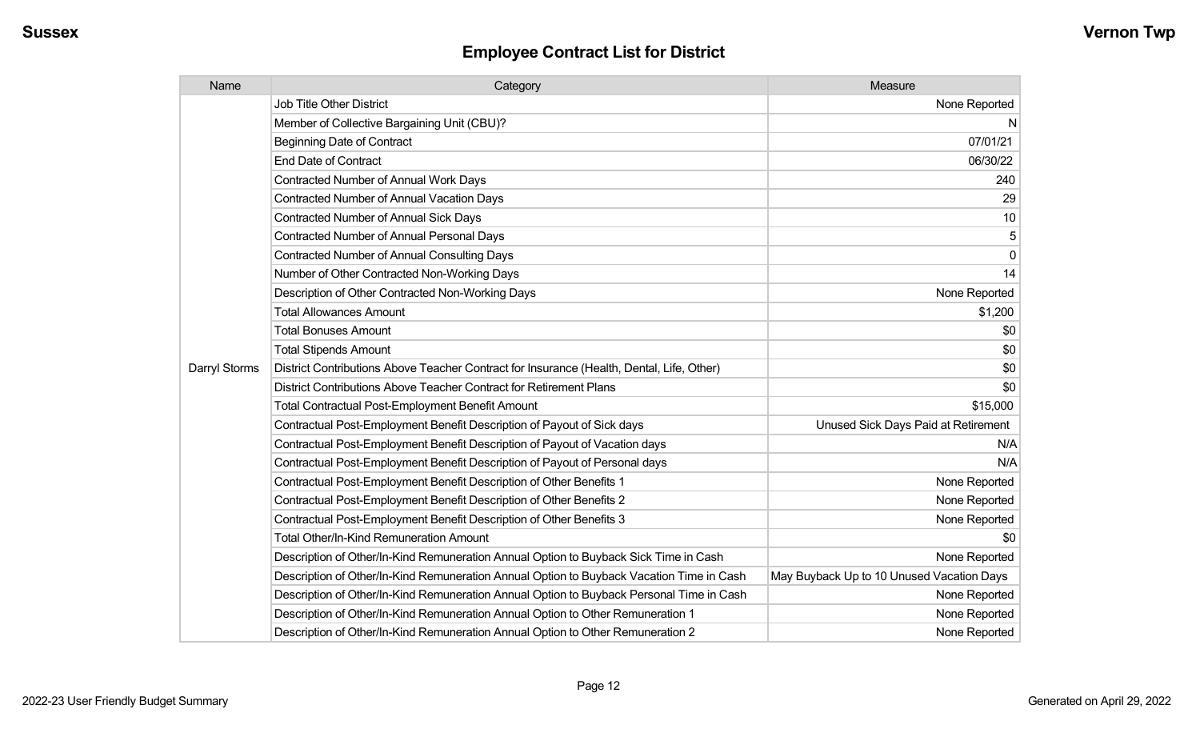| Name          | Category                                                                                  | Measure                                   |
|---------------|-------------------------------------------------------------------------------------------|-------------------------------------------|
|               | Job Title Other District                                                                  | None Reported                             |
|               | Member of Collective Bargaining Unit (CBU)?                                               | N                                         |
|               | <b>Beginning Date of Contract</b>                                                         | 07/01/21                                  |
|               | <b>End Date of Contract</b>                                                               | 06/30/22                                  |
|               | Contracted Number of Annual Work Days                                                     | 240                                       |
|               | Contracted Number of Annual Vacation Days                                                 | 29                                        |
|               | <b>Contracted Number of Annual Sick Days</b>                                              | 10                                        |
|               | Contracted Number of Annual Personal Days                                                 | 5                                         |
|               | <b>Contracted Number of Annual Consulting Days</b>                                        | $\mathbf 0$                               |
|               | Number of Other Contracted Non-Working Days                                               | 14                                        |
|               | Description of Other Contracted Non-Working Days                                          | None Reported                             |
|               | <b>Total Allowances Amount</b>                                                            | \$1,200                                   |
|               | <b>Total Bonuses Amount</b>                                                               | \$0                                       |
|               | <b>Total Stipends Amount</b>                                                              | \$0                                       |
| Darryl Storms | District Contributions Above Teacher Contract for Insurance (Health, Dental, Life, Other) | \$0                                       |
|               | District Contributions Above Teacher Contract for Retirement Plans                        | \$0                                       |
|               | <b>Total Contractual Post-Employment Benefit Amount</b>                                   | \$15,000                                  |
|               | Contractual Post-Employment Benefit Description of Payout of Sick days                    | Unused Sick Days Paid at Retirement       |
|               | Contractual Post-Employment Benefit Description of Payout of Vacation days                | N/A                                       |
|               | Contractual Post-Employment Benefit Description of Payout of Personal days                | N/A                                       |
|               | Contractual Post-Employment Benefit Description of Other Benefits 1                       | None Reported                             |
|               | Contractual Post-Employment Benefit Description of Other Benefits 2                       | None Reported                             |
|               | Contractual Post-Employment Benefit Description of Other Benefits 3                       | None Reported                             |
|               | Total Other/In-Kind Remuneration Amount                                                   | \$0                                       |
|               | Description of Other/In-Kind Remuneration Annual Option to Buyback Sick Time in Cash      | None Reported                             |
|               | Description of Other/In-Kind Remuneration Annual Option to Buyback Vacation Time in Cash  | May Buyback Up to 10 Unused Vacation Days |
|               | Description of Other/In-Kind Remuneration Annual Option to Buyback Personal Time in Cash  | None Reported                             |
|               | Description of Other/In-Kind Remuneration Annual Option to Other Remuneration 1           | None Reported                             |
|               | Description of Other/In-Kind Remuneration Annual Option to Other Remuneration 2           | None Reported                             |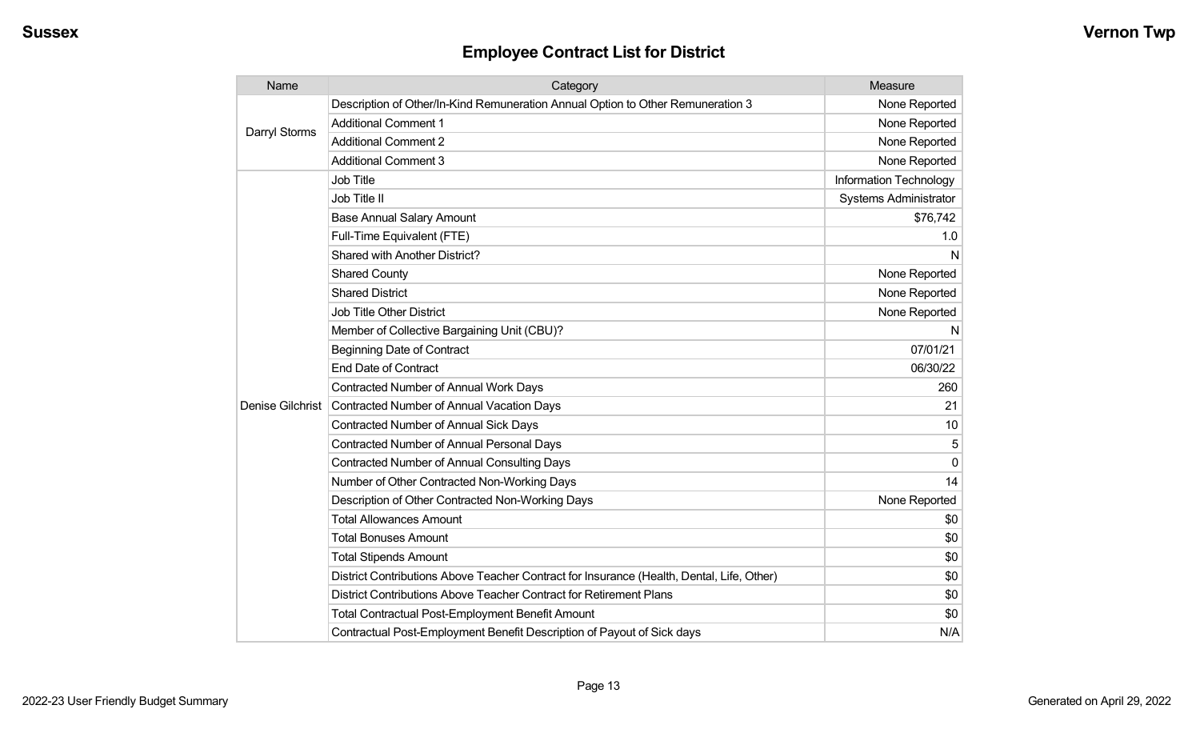| Name             | Category                                                                                  | Measure                |
|------------------|-------------------------------------------------------------------------------------------|------------------------|
| Darryl Storms    | Description of Other/In-Kind Remuneration Annual Option to Other Remuneration 3           | None Reported          |
|                  | <b>Additional Comment 1</b>                                                               | None Reported          |
|                  | <b>Additional Comment 2</b>                                                               | None Reported          |
|                  | <b>Additional Comment 3</b>                                                               | None Reported          |
|                  | Job Title                                                                                 | Information Technology |
|                  | Job Title II                                                                              | Systems Administrator  |
|                  | <b>Base Annual Salary Amount</b>                                                          | \$76,742               |
|                  | Full-Time Equivalent (FTE)                                                                | 1.0                    |
|                  | Shared with Another District?                                                             | N                      |
|                  | <b>Shared County</b>                                                                      | None Reported          |
|                  | <b>Shared District</b>                                                                    | None Reported          |
|                  | <b>Job Title Other District</b>                                                           | None Reported          |
|                  | Member of Collective Bargaining Unit (CBU)?                                               | N                      |
|                  | <b>Beginning Date of Contract</b>                                                         | 07/01/21               |
|                  | <b>End Date of Contract</b>                                                               | 06/30/22               |
|                  | <b>Contracted Number of Annual Work Days</b>                                              | 260                    |
| Denise Gilchrist | <b>Contracted Number of Annual Vacation Days</b>                                          | 21                     |
|                  | Contracted Number of Annual Sick Days                                                     | 10                     |
|                  | <b>Contracted Number of Annual Personal Days</b>                                          | 5                      |
|                  | <b>Contracted Number of Annual Consulting Days</b>                                        | $\Omega$               |
|                  | Number of Other Contracted Non-Working Days                                               | 14                     |
|                  | Description of Other Contracted Non-Working Days                                          | None Reported          |
|                  | <b>Total Allowances Amount</b>                                                            | \$0                    |
|                  | <b>Total Bonuses Amount</b>                                                               | \$0                    |
|                  | <b>Total Stipends Amount</b>                                                              | \$0                    |
|                  | District Contributions Above Teacher Contract for Insurance (Health, Dental, Life, Other) | \$0                    |
|                  | District Contributions Above Teacher Contract for Retirement Plans                        | \$0                    |
|                  | <b>Total Contractual Post-Employment Benefit Amount</b>                                   | \$0                    |
|                  | Contractual Post-Employment Benefit Description of Payout of Sick days                    | N/A                    |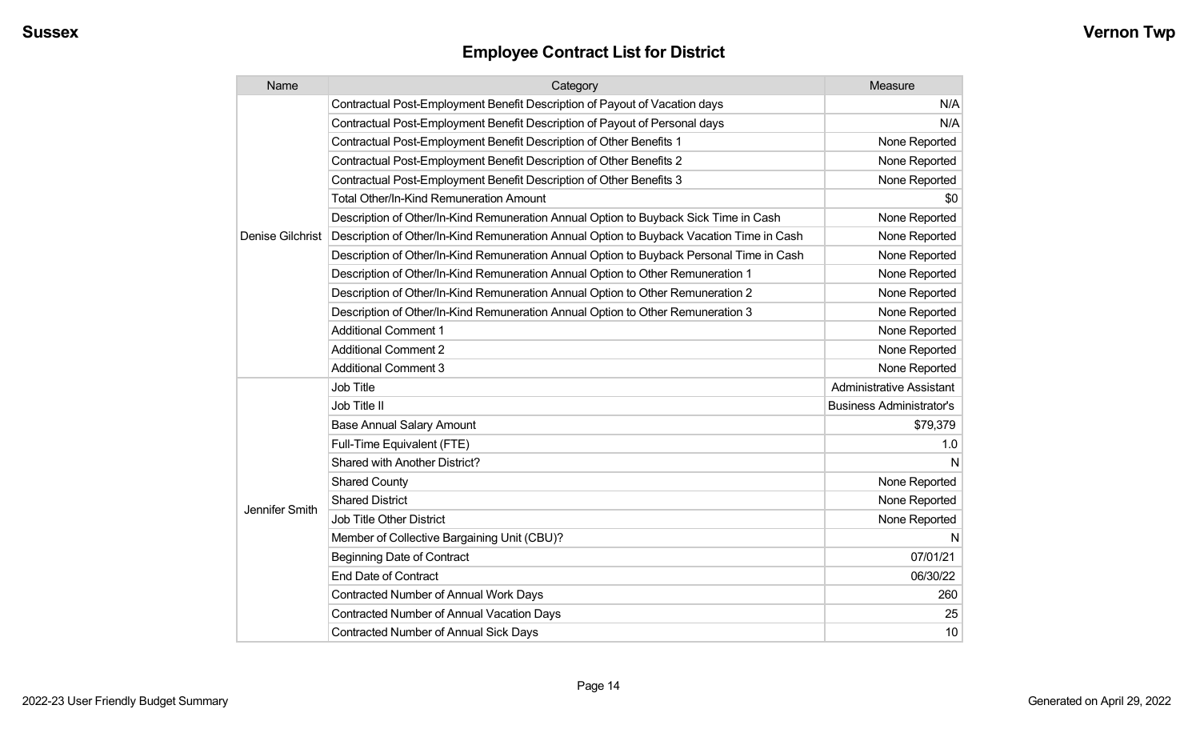| Name             | Category                                                                                 | Measure                         |
|------------------|------------------------------------------------------------------------------------------|---------------------------------|
|                  | Contractual Post-Employment Benefit Description of Payout of Vacation days               | N/A                             |
|                  | Contractual Post-Employment Benefit Description of Payout of Personal days               | N/A                             |
|                  | Contractual Post-Employment Benefit Description of Other Benefits 1                      | None Reported                   |
|                  | Contractual Post-Employment Benefit Description of Other Benefits 2                      | None Reported                   |
|                  | Contractual Post-Employment Benefit Description of Other Benefits 3                      | None Reported                   |
|                  | <b>Total Other/In-Kind Remuneration Amount</b>                                           | \$0                             |
|                  | Description of Other/In-Kind Remuneration Annual Option to Buyback Sick Time in Cash     | None Reported                   |
| Denise Gilchrist | Description of Other/In-Kind Remuneration Annual Option to Buyback Vacation Time in Cash | None Reported                   |
|                  | Description of Other/In-Kind Remuneration Annual Option to Buyback Personal Time in Cash | None Reported                   |
|                  | Description of Other/In-Kind Remuneration Annual Option to Other Remuneration 1          | None Reported                   |
|                  | Description of Other/In-Kind Remuneration Annual Option to Other Remuneration 2          | None Reported                   |
|                  | Description of Other/In-Kind Remuneration Annual Option to Other Remuneration 3          | None Reported                   |
|                  | <b>Additional Comment 1</b>                                                              | None Reported                   |
|                  | <b>Additional Comment 2</b>                                                              | None Reported                   |
|                  | <b>Additional Comment 3</b>                                                              | None Reported                   |
|                  | <b>Job Title</b>                                                                         | <b>Administrative Assistant</b> |
|                  | Job Title II                                                                             | <b>Business Administrator's</b> |
|                  | <b>Base Annual Salary Amount</b>                                                         | \$79,379                        |
|                  | Full-Time Equivalent (FTE)                                                               | 1.0                             |
|                  | Shared with Another District?                                                            | N                               |
|                  | <b>Shared County</b>                                                                     | None Reported                   |
|                  | <b>Shared District</b>                                                                   | None Reported                   |
| Jennifer Smith   | <b>Job Title Other District</b>                                                          | None Reported                   |
|                  | Member of Collective Bargaining Unit (CBU)?                                              | N                               |
|                  | <b>Beginning Date of Contract</b>                                                        | 07/01/21                        |
|                  | <b>End Date of Contract</b>                                                              | 06/30/22                        |
|                  | Contracted Number of Annual Work Days                                                    | 260                             |
|                  | Contracted Number of Annual Vacation Days                                                | 25                              |
|                  | Contracted Number of Annual Sick Days                                                    | 10                              |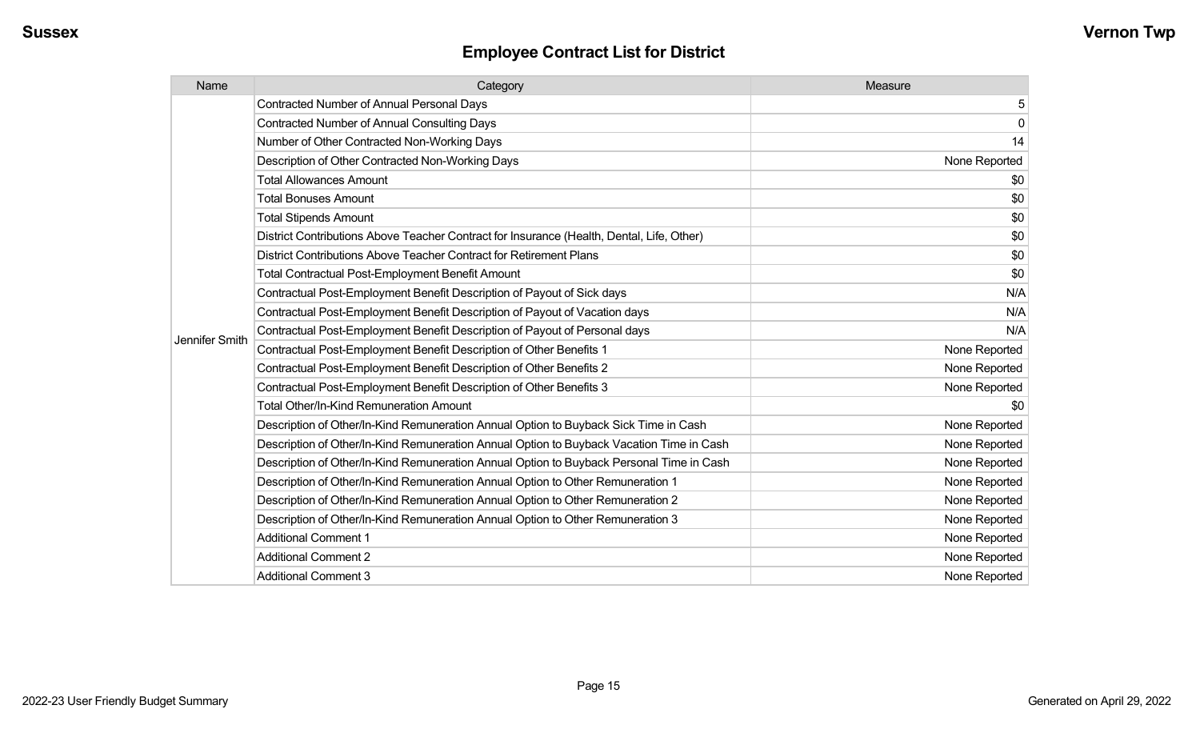| Name           | Category                                                                                  | Measure       |
|----------------|-------------------------------------------------------------------------------------------|---------------|
|                | <b>Contracted Number of Annual Personal Days</b>                                          | 5             |
|                | <b>Contracted Number of Annual Consulting Days</b>                                        | $\mathbf 0$   |
|                | Number of Other Contracted Non-Working Days                                               | 14            |
|                | Description of Other Contracted Non-Working Days                                          | None Reported |
|                | <b>Total Allowances Amount</b>                                                            | \$0           |
|                | <b>Total Bonuses Amount</b>                                                               | \$0           |
|                | <b>Total Stipends Amount</b>                                                              | \$0           |
|                | District Contributions Above Teacher Contract for Insurance (Health, Dental, Life, Other) | \$0           |
|                | District Contributions Above Teacher Contract for Retirement Plans                        | \$0           |
|                | <b>Total Contractual Post-Employment Benefit Amount</b>                                   | \$0           |
|                | Contractual Post-Employment Benefit Description of Payout of Sick days                    | N/A           |
|                | Contractual Post-Employment Benefit Description of Payout of Vacation days                | N/A           |
| Jennifer Smith | Contractual Post-Employment Benefit Description of Payout of Personal days                | N/A           |
|                | Contractual Post-Employment Benefit Description of Other Benefits 1                       | None Reported |
|                | Contractual Post-Employment Benefit Description of Other Benefits 2                       | None Reported |
|                | Contractual Post-Employment Benefit Description of Other Benefits 3                       | None Reported |
|                | Total Other/In-Kind Remuneration Amount                                                   | \$0           |
|                | Description of Other/In-Kind Remuneration Annual Option to Buyback Sick Time in Cash      | None Reported |
|                | Description of Other/In-Kind Remuneration Annual Option to Buyback Vacation Time in Cash  | None Reported |
|                | Description of Other/In-Kind Remuneration Annual Option to Buyback Personal Time in Cash  | None Reported |
|                | Description of Other/In-Kind Remuneration Annual Option to Other Remuneration 1           | None Reported |
|                | Description of Other/In-Kind Remuneration Annual Option to Other Remuneration 2           | None Reported |
|                | Description of Other/In-Kind Remuneration Annual Option to Other Remuneration 3           | None Reported |
|                | <b>Additional Comment 1</b>                                                               | None Reported |
|                | <b>Additional Comment 2</b>                                                               | None Reported |
|                | <b>Additional Comment 3</b>                                                               | None Reported |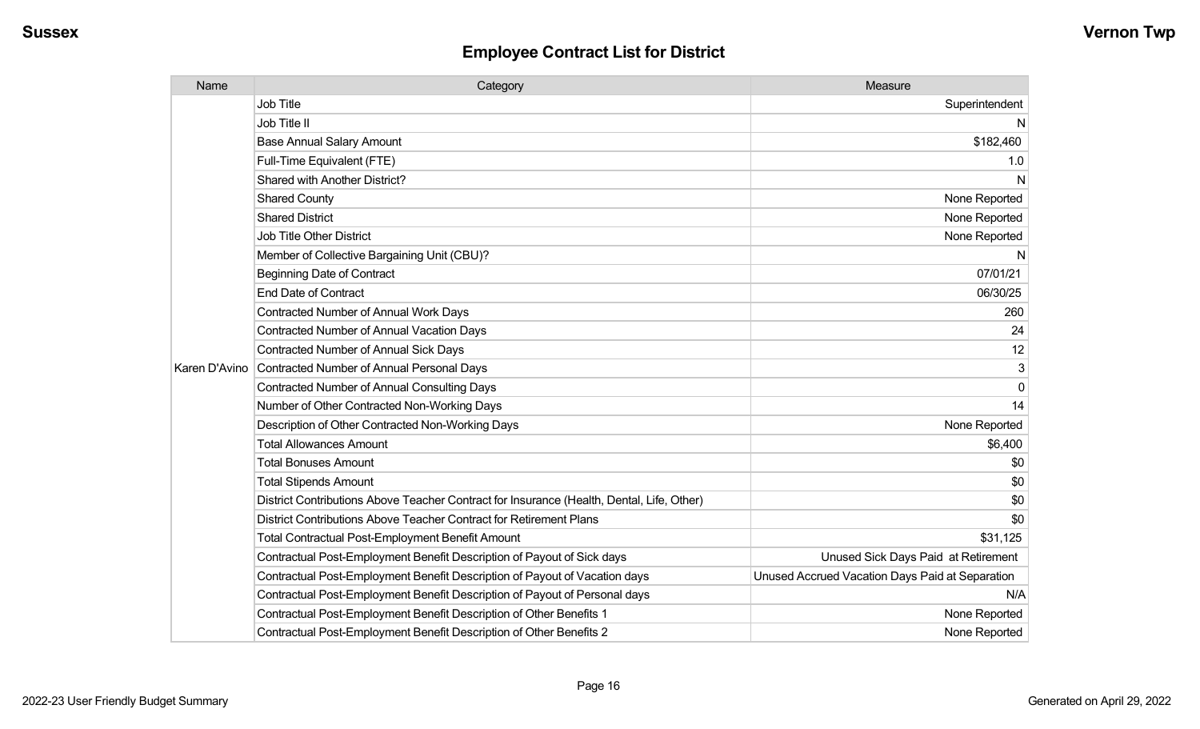| Name          | Category                                                                                  | Measure                                         |
|---------------|-------------------------------------------------------------------------------------------|-------------------------------------------------|
|               | Job Title                                                                                 | Superintendent                                  |
|               | Job Title II                                                                              | N                                               |
|               | <b>Base Annual Salary Amount</b>                                                          | \$182,460                                       |
|               | Full-Time Equivalent (FTE)                                                                | 1.0                                             |
|               | Shared with Another District?                                                             | N                                               |
|               | <b>Shared County</b>                                                                      | None Reported                                   |
|               | <b>Shared District</b>                                                                    | None Reported                                   |
|               | Job Title Other District                                                                  | None Reported                                   |
|               | Member of Collective Bargaining Unit (CBU)?                                               | N                                               |
|               | <b>Beginning Date of Contract</b>                                                         | 07/01/21                                        |
|               | <b>End Date of Contract</b>                                                               | 06/30/25                                        |
|               | <b>Contracted Number of Annual Work Days</b>                                              | 260                                             |
|               | Contracted Number of Annual Vacation Days                                                 | 24                                              |
|               | Contracted Number of Annual Sick Days                                                     | 12                                              |
| Karen D'Avino | Contracted Number of Annual Personal Days                                                 | 3                                               |
|               | <b>Contracted Number of Annual Consulting Days</b>                                        | $\mathbf 0$                                     |
|               | Number of Other Contracted Non-Working Days                                               | 14                                              |
|               | Description of Other Contracted Non-Working Days                                          | None Reported                                   |
|               | <b>Total Allowances Amount</b>                                                            | \$6,400                                         |
|               | <b>Total Bonuses Amount</b>                                                               | \$0                                             |
|               | <b>Total Stipends Amount</b>                                                              | \$0                                             |
|               | District Contributions Above Teacher Contract for Insurance (Health, Dental, Life, Other) | \$0                                             |
|               | District Contributions Above Teacher Contract for Retirement Plans                        | \$0                                             |
|               | Total Contractual Post-Employment Benefit Amount                                          | \$31,125                                        |
|               | Contractual Post-Employment Benefit Description of Payout of Sick days                    | Unused Sick Days Paid at Retirement             |
|               | Contractual Post-Employment Benefit Description of Payout of Vacation days                | Unused Accrued Vacation Days Paid at Separation |
|               | Contractual Post-Employment Benefit Description of Payout of Personal days                | N/A                                             |
|               | Contractual Post-Employment Benefit Description of Other Benefits 1                       | None Reported                                   |
|               | Contractual Post-Employment Benefit Description of Other Benefits 2                       | None Reported                                   |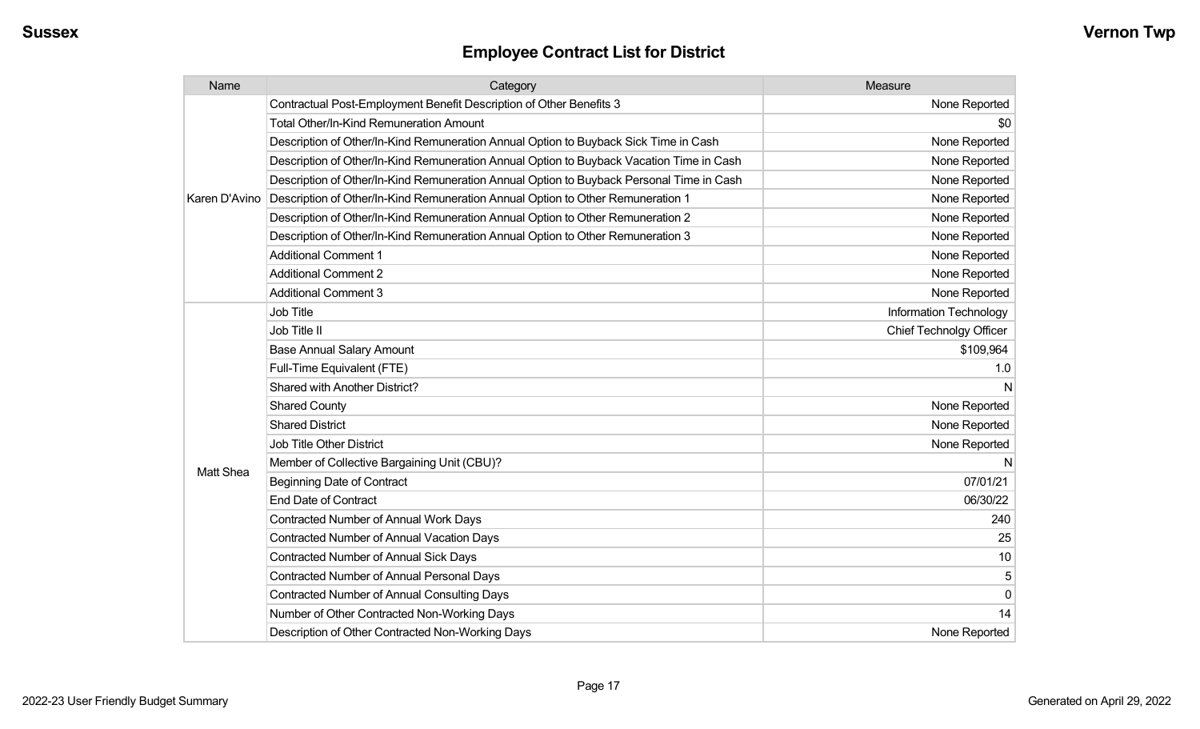| Name             | Category                                                                                 | Measure                        |
|------------------|------------------------------------------------------------------------------------------|--------------------------------|
| Karen D'Avino    | Contractual Post-Employment Benefit Description of Other Benefits 3                      | None Reported                  |
|                  | Total Other/In-Kind Remuneration Amount                                                  | \$0                            |
|                  | Description of Other/In-Kind Remuneration Annual Option to Buyback Sick Time in Cash     | None Reported                  |
|                  | Description of Other/In-Kind Remuneration Annual Option to Buyback Vacation Time in Cash | None Reported                  |
|                  | Description of Other/In-Kind Remuneration Annual Option to Buyback Personal Time in Cash | None Reported                  |
|                  | Description of Other/In-Kind Remuneration Annual Option to Other Remuneration 1          | None Reported                  |
|                  | Description of Other/In-Kind Remuneration Annual Option to Other Remuneration 2          | None Reported                  |
|                  | Description of Other/In-Kind Remuneration Annual Option to Other Remuneration 3          | None Reported                  |
|                  | <b>Additional Comment 1</b>                                                              | None Reported                  |
|                  | <b>Additional Comment 2</b>                                                              | None Reported                  |
|                  | <b>Additional Comment 3</b>                                                              | None Reported                  |
|                  | <b>Job Title</b>                                                                         | <b>Information Technology</b>  |
|                  | Job Title II                                                                             | <b>Chief Technolgy Officer</b> |
|                  | <b>Base Annual Salary Amount</b>                                                         | \$109,964                      |
|                  | Full-Time Equivalent (FTE)                                                               | 1.0                            |
|                  | Shared with Another District?                                                            | N                              |
|                  | <b>Shared County</b>                                                                     | None Reported                  |
|                  | <b>Shared District</b>                                                                   | None Reported                  |
|                  | Job Title Other District                                                                 | None Reported                  |
| <b>Matt Shea</b> | Member of Collective Bargaining Unit (CBU)?                                              | N                              |
|                  | <b>Beginning Date of Contract</b>                                                        | 07/01/21                       |
|                  | <b>End Date of Contract</b>                                                              | 06/30/22                       |
|                  | <b>Contracted Number of Annual Work Days</b>                                             | 240                            |
|                  | <b>Contracted Number of Annual Vacation Days</b>                                         | 25                             |
|                  | <b>Contracted Number of Annual Sick Days</b>                                             | 10                             |
|                  | Contracted Number of Annual Personal Days                                                | 5                              |
|                  | <b>Contracted Number of Annual Consulting Days</b>                                       | $\mathbf 0$                    |
|                  | Number of Other Contracted Non-Working Days                                              | 14                             |
|                  | Description of Other Contracted Non-Working Days                                         | None Reported                  |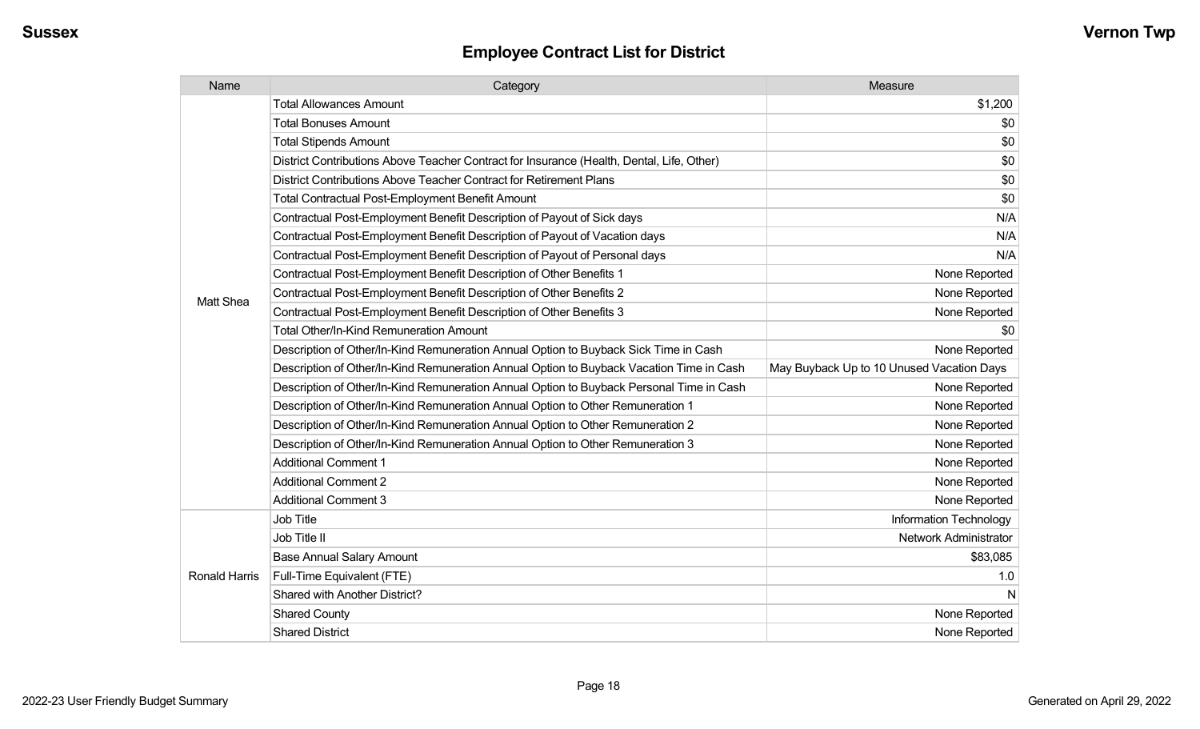| Name                 | Category                                                                                  | Measure                                   |
|----------------------|-------------------------------------------------------------------------------------------|-------------------------------------------|
|                      | <b>Total Allowances Amount</b>                                                            | \$1,200                                   |
|                      | <b>Total Bonuses Amount</b>                                                               | \$0                                       |
|                      | <b>Total Stipends Amount</b>                                                              | \$0                                       |
|                      | District Contributions Above Teacher Contract for Insurance (Health, Dental, Life, Other) | \$0                                       |
|                      | District Contributions Above Teacher Contract for Retirement Plans                        | \$0                                       |
|                      | <b>Total Contractual Post-Employment Benefit Amount</b>                                   | \$0                                       |
|                      | Contractual Post-Employment Benefit Description of Payout of Sick days                    | N/A                                       |
|                      | Contractual Post-Employment Benefit Description of Payout of Vacation days                | N/A                                       |
|                      | Contractual Post-Employment Benefit Description of Payout of Personal days                | N/A                                       |
|                      | Contractual Post-Employment Benefit Description of Other Benefits 1                       | None Reported                             |
| <b>Matt Shea</b>     | Contractual Post-Employment Benefit Description of Other Benefits 2                       | None Reported                             |
|                      | Contractual Post-Employment Benefit Description of Other Benefits 3                       | None Reported                             |
|                      | <b>Total Other/In-Kind Remuneration Amount</b>                                            | \$0                                       |
|                      | Description of Other/In-Kind Remuneration Annual Option to Buyback Sick Time in Cash      | None Reported                             |
|                      | Description of Other/In-Kind Remuneration Annual Option to Buyback Vacation Time in Cash  | May Buyback Up to 10 Unused Vacation Days |
|                      | Description of Other/In-Kind Remuneration Annual Option to Buyback Personal Time in Cash  | None Reported                             |
|                      | Description of Other/In-Kind Remuneration Annual Option to Other Remuneration 1           | None Reported                             |
|                      | Description of Other/In-Kind Remuneration Annual Option to Other Remuneration 2           | None Reported                             |
|                      | Description of Other/In-Kind Remuneration Annual Option to Other Remuneration 3           | None Reported                             |
|                      | <b>Additional Comment 1</b>                                                               | None Reported                             |
|                      | <b>Additional Comment 2</b>                                                               | None Reported                             |
|                      | <b>Additional Comment 3</b>                                                               | None Reported                             |
|                      | Job Title                                                                                 | Information Technology                    |
| <b>Ronald Harris</b> | Job Title II                                                                              | Network Administrator                     |
|                      | <b>Base Annual Salary Amount</b>                                                          | \$83,085                                  |
|                      | Full-Time Equivalent (FTE)                                                                | 1.0                                       |
|                      | <b>Shared with Another District?</b>                                                      | N                                         |
|                      | <b>Shared County</b>                                                                      | None Reported                             |
|                      | <b>Shared District</b>                                                                    | None Reported                             |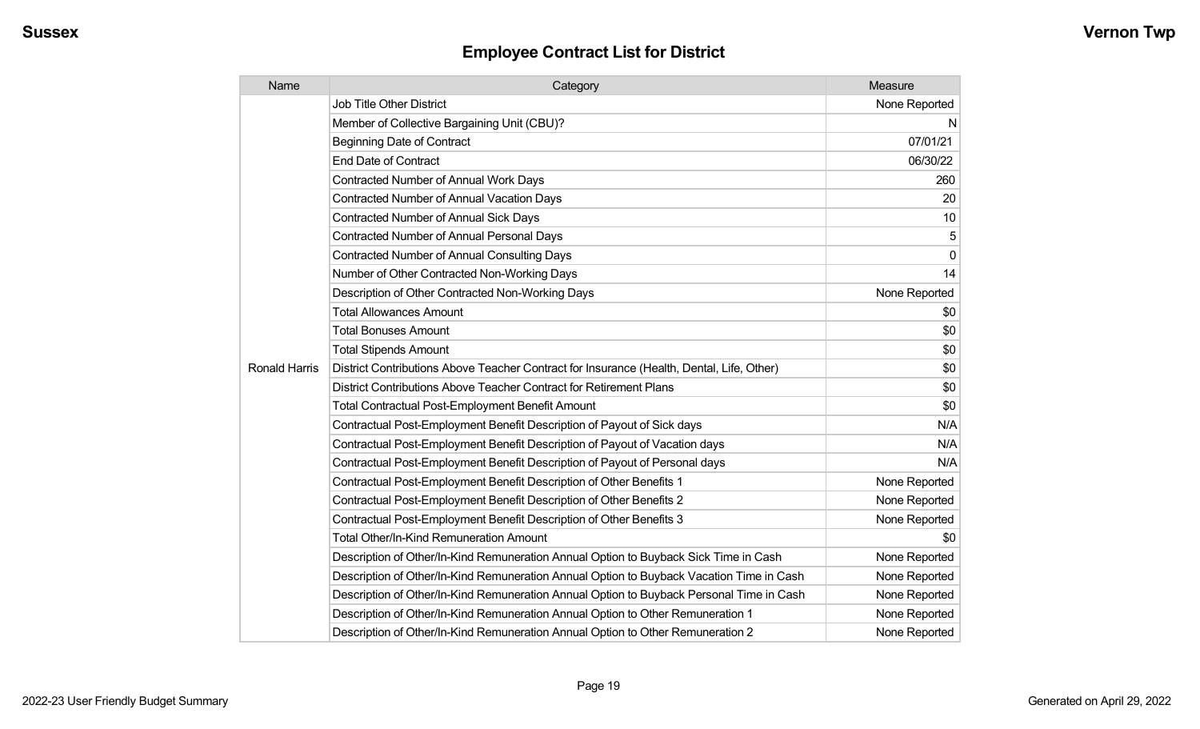| Name                 | Category                                                                                  | Measure       |
|----------------------|-------------------------------------------------------------------------------------------|---------------|
|                      | <b>Job Title Other District</b>                                                           | None Reported |
|                      | Member of Collective Bargaining Unit (CBU)?                                               | N             |
|                      | <b>Beginning Date of Contract</b>                                                         | 07/01/21      |
|                      | <b>End Date of Contract</b>                                                               | 06/30/22      |
|                      | <b>Contracted Number of Annual Work Days</b>                                              | 260           |
|                      | <b>Contracted Number of Annual Vacation Days</b>                                          | 20            |
|                      | Contracted Number of Annual Sick Days                                                     | 10            |
|                      | <b>Contracted Number of Annual Personal Days</b>                                          | 5             |
|                      | <b>Contracted Number of Annual Consulting Days</b>                                        | $\Omega$      |
|                      | Number of Other Contracted Non-Working Days                                               | 14            |
|                      | Description of Other Contracted Non-Working Days                                          | None Reported |
|                      | <b>Total Allowances Amount</b>                                                            | \$0           |
|                      | <b>Total Bonuses Amount</b>                                                               | \$0           |
|                      | <b>Total Stipends Amount</b>                                                              | \$0           |
| <b>Ronald Harris</b> | District Contributions Above Teacher Contract for Insurance (Health, Dental, Life, Other) | \$0           |
|                      | District Contributions Above Teacher Contract for Retirement Plans                        | \$0           |
|                      | <b>Total Contractual Post-Employment Benefit Amount</b>                                   | \$0           |
|                      | Contractual Post-Employment Benefit Description of Payout of Sick days                    | N/A           |
|                      | Contractual Post-Employment Benefit Description of Payout of Vacation days                | N/A           |
|                      | Contractual Post-Employment Benefit Description of Payout of Personal days                | N/A           |
|                      | Contractual Post-Employment Benefit Description of Other Benefits 1                       | None Reported |
|                      | Contractual Post-Employment Benefit Description of Other Benefits 2                       | None Reported |
|                      | Contractual Post-Employment Benefit Description of Other Benefits 3                       | None Reported |
|                      | Total Other/In-Kind Remuneration Amount                                                   | \$0           |
|                      | Description of Other/In-Kind Remuneration Annual Option to Buyback Sick Time in Cash      | None Reported |
|                      | Description of Other/In-Kind Remuneration Annual Option to Buyback Vacation Time in Cash  | None Reported |
|                      | Description of Other/In-Kind Remuneration Annual Option to Buyback Personal Time in Cash  | None Reported |
|                      | Description of Other/In-Kind Remuneration Annual Option to Other Remuneration 1           | None Reported |
|                      | Description of Other/In-Kind Remuneration Annual Option to Other Remuneration 2           | None Reported |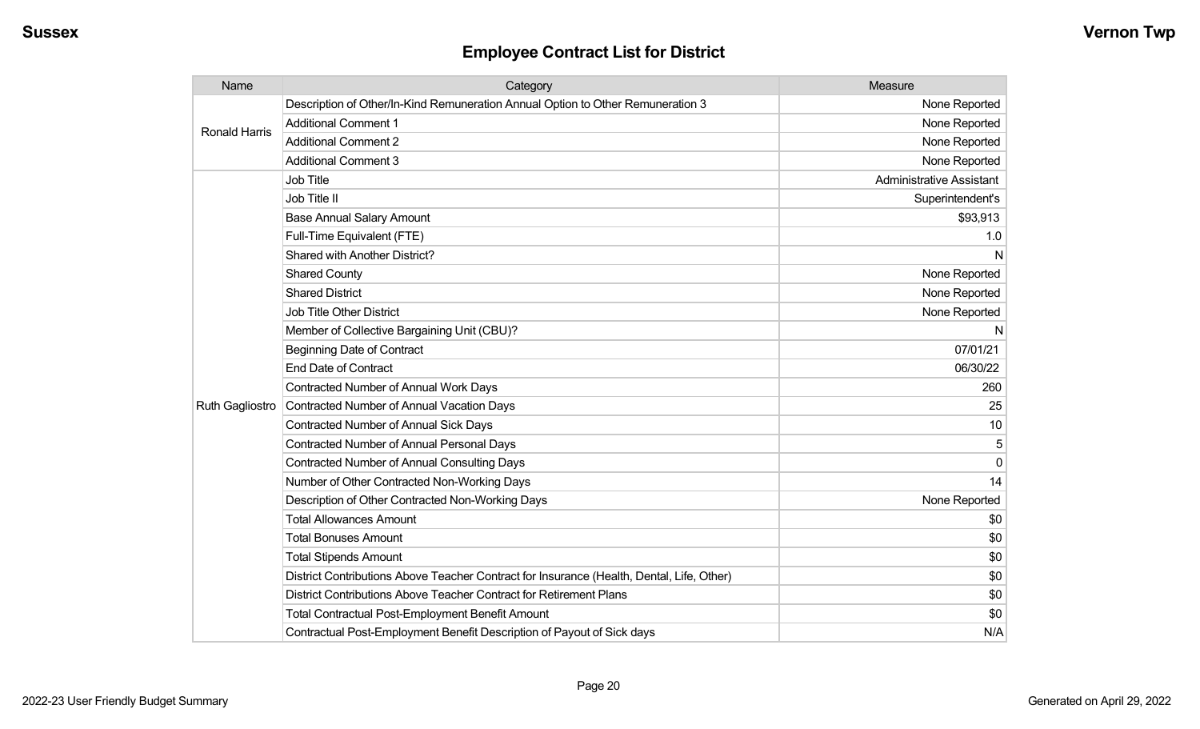| Name                   | Category                                                                                  | Measure                         |
|------------------------|-------------------------------------------------------------------------------------------|---------------------------------|
| Ronald Harris          | Description of Other/In-Kind Remuneration Annual Option to Other Remuneration 3           | None Reported                   |
|                        | <b>Additional Comment 1</b>                                                               | None Reported                   |
|                        | <b>Additional Comment 2</b>                                                               | None Reported                   |
|                        | <b>Additional Comment 3</b>                                                               | None Reported                   |
|                        | Job Title                                                                                 | <b>Administrative Assistant</b> |
|                        | Job Title II                                                                              | Superintendent's                |
|                        | <b>Base Annual Salary Amount</b>                                                          | \$93,913                        |
|                        | Full-Time Equivalent (FTE)                                                                | 1.0                             |
|                        | Shared with Another District?                                                             | N                               |
|                        | <b>Shared County</b>                                                                      | None Reported                   |
|                        | <b>Shared District</b>                                                                    | None Reported                   |
|                        | <b>Job Title Other District</b>                                                           | None Reported                   |
|                        | Member of Collective Bargaining Unit (CBU)?                                               | N                               |
|                        | <b>Beginning Date of Contract</b>                                                         | 07/01/21                        |
|                        | <b>End Date of Contract</b>                                                               | 06/30/22                        |
|                        | <b>Contracted Number of Annual Work Days</b>                                              | 260                             |
| <b>Ruth Gagliostro</b> | Contracted Number of Annual Vacation Days                                                 | 25                              |
|                        | <b>Contracted Number of Annual Sick Days</b>                                              | 10                              |
|                        | <b>Contracted Number of Annual Personal Days</b>                                          | 5                               |
|                        | <b>Contracted Number of Annual Consulting Days</b>                                        | $\Omega$                        |
|                        | Number of Other Contracted Non-Working Days                                               | 14                              |
|                        | Description of Other Contracted Non-Working Days                                          | None Reported                   |
|                        | <b>Total Allowances Amount</b>                                                            | \$0                             |
|                        | <b>Total Bonuses Amount</b>                                                               | \$0                             |
|                        | <b>Total Stipends Amount</b>                                                              | \$0                             |
|                        | District Contributions Above Teacher Contract for Insurance (Health, Dental, Life, Other) | \$0                             |
|                        | District Contributions Above Teacher Contract for Retirement Plans                        | \$0                             |
|                        | <b>Total Contractual Post-Employment Benefit Amount</b>                                   | \$0                             |
|                        | Contractual Post-Employment Benefit Description of Payout of Sick days                    | N/A                             |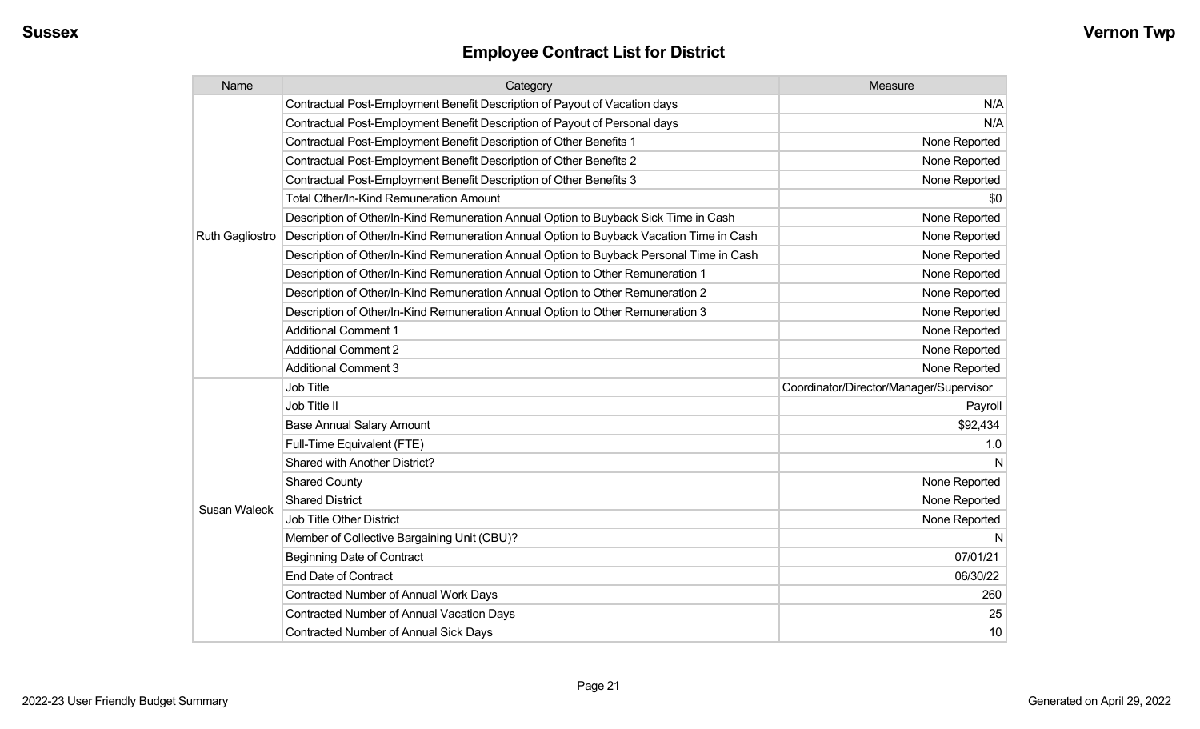| Name                   | Category                                                                                 | Measure                                 |
|------------------------|------------------------------------------------------------------------------------------|-----------------------------------------|
|                        | Contractual Post-Employment Benefit Description of Payout of Vacation days               | N/A                                     |
|                        | Contractual Post-Employment Benefit Description of Payout of Personal days               | N/A                                     |
|                        | Contractual Post-Employment Benefit Description of Other Benefits 1                      | None Reported                           |
|                        | Contractual Post-Employment Benefit Description of Other Benefits 2                      | None Reported                           |
|                        | Contractual Post-Employment Benefit Description of Other Benefits 3                      | None Reported                           |
|                        | Total Other/In-Kind Remuneration Amount                                                  | \$0                                     |
|                        | Description of Other/In-Kind Remuneration Annual Option to Buyback Sick Time in Cash     | None Reported                           |
| <b>Ruth Gagliostro</b> | Description of Other/In-Kind Remuneration Annual Option to Buyback Vacation Time in Cash | None Reported                           |
|                        | Description of Other/In-Kind Remuneration Annual Option to Buyback Personal Time in Cash | None Reported                           |
|                        | Description of Other/In-Kind Remuneration Annual Option to Other Remuneration 1          | None Reported                           |
|                        | Description of Other/In-Kind Remuneration Annual Option to Other Remuneration 2          | None Reported                           |
|                        | Description of Other/In-Kind Remuneration Annual Option to Other Remuneration 3          | None Reported                           |
|                        | <b>Additional Comment 1</b>                                                              | None Reported                           |
|                        | <b>Additional Comment 2</b>                                                              | None Reported                           |
|                        | <b>Additional Comment 3</b>                                                              | None Reported                           |
|                        | <b>Job Title</b>                                                                         | Coordinator/Director/Manager/Supervisor |
|                        | Job Title II                                                                             | Payroll                                 |
|                        | <b>Base Annual Salary Amount</b>                                                         | \$92,434                                |
|                        | Full-Time Equivalent (FTE)                                                               | 1.0                                     |
|                        | Shared with Another District?                                                            | N                                       |
|                        | <b>Shared County</b>                                                                     | None Reported                           |
|                        | <b>Shared District</b>                                                                   | None Reported                           |
| Susan Waleck           | Job Title Other District                                                                 | None Reported                           |
|                        | Member of Collective Bargaining Unit (CBU)?                                              | N                                       |
|                        | <b>Beginning Date of Contract</b>                                                        | 07/01/21                                |
|                        | <b>End Date of Contract</b>                                                              | 06/30/22                                |
|                        | <b>Contracted Number of Annual Work Days</b>                                             | 260                                     |
|                        | <b>Contracted Number of Annual Vacation Days</b>                                         | 25                                      |
|                        | <b>Contracted Number of Annual Sick Days</b>                                             | 10                                      |